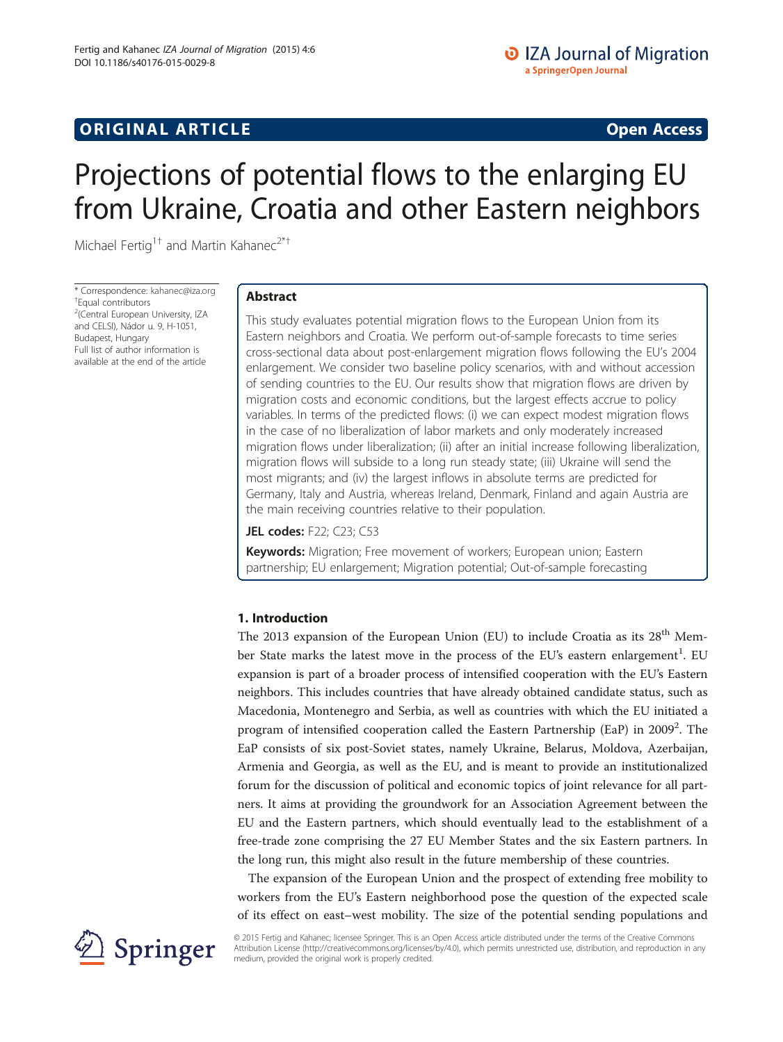# Projections of potential flows to the enlarging EU from Ukraine, Croatia and other Eastern neighbors

Michael Fertig<sup>1†</sup> and Martin Kahanec<sup>2\*†</sup>

\* Correspondence: [kahanec@iza.org](mailto:kahanec@iza.org) † Equal contributors <sup>2</sup>(Central European University, IZA and CELSI), Nádor u. 9, H-1051, Budapest, Hungary Full list of author information is available at the end of the article

# Abstract

This study evaluates potential migration flows to the European Union from its Eastern neighbors and Croatia. We perform out-of-sample forecasts to time series cross-sectional data about post-enlargement migration flows following the EU's 2004 enlargement. We consider two baseline policy scenarios, with and without accession of sending countries to the EU. Our results show that migration flows are driven by migration costs and economic conditions, but the largest effects accrue to policy variables. In terms of the predicted flows: (i) we can expect modest migration flows in the case of no liberalization of labor markets and only moderately increased migration flows under liberalization; (ii) after an initial increase following liberalization, migration flows will subside to a long run steady state; (iii) Ukraine will send the most migrants; and (iv) the largest inflows in absolute terms are predicted for Germany, Italy and Austria, whereas Ireland, Denmark, Finland and again Austria are the main receiving countries relative to their population.

# JEL codes: F22; C23; C53

Keywords: Migration; Free movement of workers; European union; Eastern partnership; EU enlargement; Migration potential; Out-of-sample forecasting

# 1. Introduction

The 2013 expansion of the European Union (EU) to include Croatia as its  $28<sup>th</sup>$  Member State marks the latest move in the process of the EU's eastern enlargement<sup>1</sup>. EU expansion is part of a broader process of intensified cooperation with the EU's Eastern neighbors. This includes countries that have already obtained candidate status, such as Macedonia, Montenegro and Serbia, as well as countries with which the EU initiated a program of intensified cooperation called the Eastern Partnership (EaP) in 2009<sup>2</sup>. The EaP consists of six post-Soviet states, namely Ukraine, Belarus, Moldova, Azerbaijan, Armenia and Georgia, as well as the EU, and is meant to provide an institutionalized forum for the discussion of political and economic topics of joint relevance for all partners. It aims at providing the groundwork for an Association Agreement between the EU and the Eastern partners, which should eventually lead to the establishment of a free-trade zone comprising the 27 EU Member States and the six Eastern partners. In the long run, this might also result in the future membership of these countries.

The expansion of the European Union and the prospect of extending free mobility to workers from the EU's Eastern neighborhood pose the question of the expected scale of its effect on east–west mobility. The size of the potential sending populations and



© 2015 Fertig and Kahanec; licensee Springer. This is an Open Access article distributed under the terms of the Creative Commons Attribution License [\(http://creativecommons.org/licenses/by/4.0\)](http://creativecommons.org/licenses/by/4.0), which permits unrestricted use, distribution, and reproduction in any medium, provided the original work is properly credited.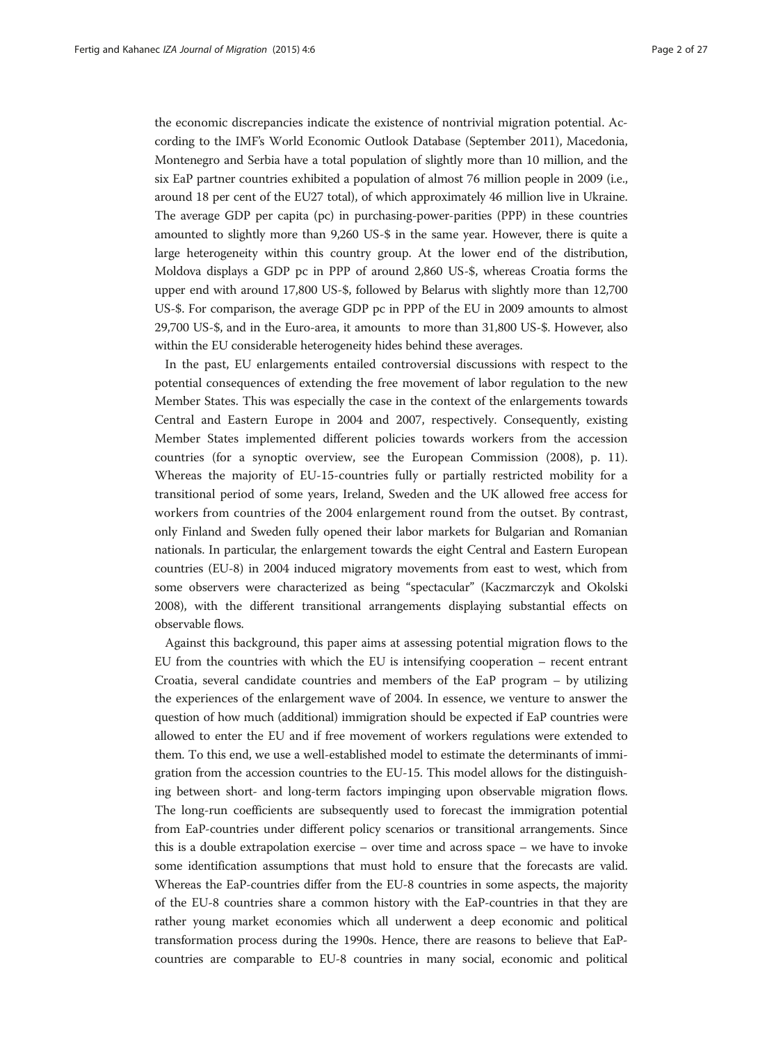the economic discrepancies indicate the existence of nontrivial migration potential. According to the IMF's World Economic Outlook Database (September 2011), Macedonia, Montenegro and Serbia have a total population of slightly more than 10 million, and the six EaP partner countries exhibited a population of almost 76 million people in 2009 (i.e., around 18 per cent of the EU27 total), of which approximately 46 million live in Ukraine. The average GDP per capita (pc) in purchasing-power-parities (PPP) in these countries amounted to slightly more than 9,260 US-\$ in the same year. However, there is quite a large heterogeneity within this country group. At the lower end of the distribution, Moldova displays a GDP pc in PPP of around 2,860 US-\$, whereas Croatia forms the upper end with around 17,800 US-\$, followed by Belarus with slightly more than 12,700 US-\$. For comparison, the average GDP pc in PPP of the EU in 2009 amounts to almost 29,700 US-\$, and in the Euro-area, it amounts to more than 31,800 US-\$. However, also within the EU considerable heterogeneity hides behind these averages.

In the past, EU enlargements entailed controversial discussions with respect to the potential consequences of extending the free movement of labor regulation to the new Member States. This was especially the case in the context of the enlargements towards Central and Eastern Europe in 2004 and 2007, respectively. Consequently, existing Member States implemented different policies towards workers from the accession countries (for a synoptic overview, see the European Commission ([2008](#page-25-0)), p. 11). Whereas the majority of EU-15-countries fully or partially restricted mobility for a transitional period of some years, Ireland, Sweden and the UK allowed free access for workers from countries of the 2004 enlargement round from the outset. By contrast, only Finland and Sweden fully opened their labor markets for Bulgarian and Romanian nationals. In particular, the enlargement towards the eight Central and Eastern European countries (EU-8) in 2004 induced migratory movements from east to west, which from some observers were characterized as being "spectacular" (Kaczmarczyk and Okolski [2008\)](#page-26-0), with the different transitional arrangements displaying substantial effects on observable flows.

Against this background, this paper aims at assessing potential migration flows to the EU from the countries with which the EU is intensifying cooperation – recent entrant Croatia, several candidate countries and members of the EaP program – by utilizing the experiences of the enlargement wave of 2004. In essence, we venture to answer the question of how much (additional) immigration should be expected if EaP countries were allowed to enter the EU and if free movement of workers regulations were extended to them. To this end, we use a well-established model to estimate the determinants of immigration from the accession countries to the EU-15. This model allows for the distinguishing between short- and long-term factors impinging upon observable migration flows. The long-run coefficients are subsequently used to forecast the immigration potential from EaP-countries under different policy scenarios or transitional arrangements. Since this is a double extrapolation exercise – over time and across space – we have to invoke some identification assumptions that must hold to ensure that the forecasts are valid. Whereas the EaP-countries differ from the EU-8 countries in some aspects, the majority of the EU-8 countries share a common history with the EaP-countries in that they are rather young market economies which all underwent a deep economic and political transformation process during the 1990s. Hence, there are reasons to believe that EaPcountries are comparable to EU-8 countries in many social, economic and political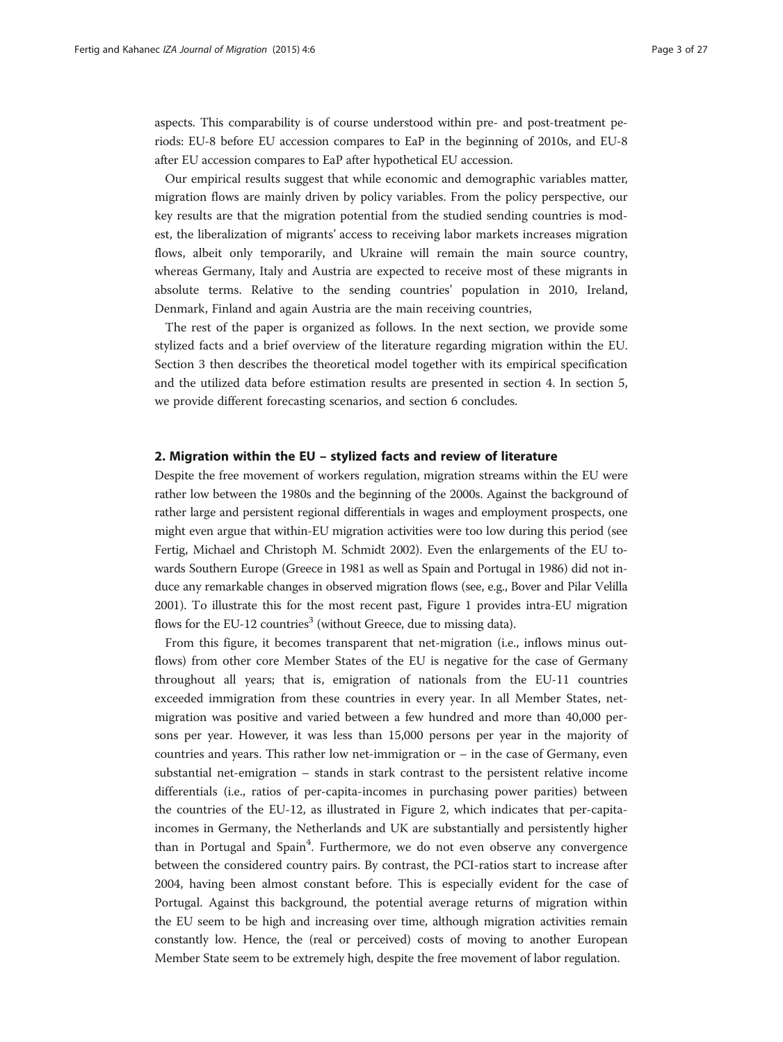aspects. This comparability is of course understood within pre- and post-treatment periods: EU-8 before EU accession compares to EaP in the beginning of 2010s, and EU-8 after EU accession compares to EaP after hypothetical EU accession.

Our empirical results suggest that while economic and demographic variables matter, migration flows are mainly driven by policy variables. From the policy perspective, our key results are that the migration potential from the studied sending countries is modest, the liberalization of migrants' access to receiving labor markets increases migration flows, albeit only temporarily, and Ukraine will remain the main source country, whereas Germany, Italy and Austria are expected to receive most of these migrants in absolute terms. Relative to the sending countries' population in 2010, Ireland, Denmark, Finland and again Austria are the main receiving countries,

The rest of the paper is organized as follows. In the next section, we provide some stylized facts and a brief overview of the literature regarding migration within the EU. Section [3](#page-8-0) then describes the theoretical model together with its empirical specification and the utilized data before estimation results are presented in section [4](#page-10-0). In section [5](#page-14-0), we provide different forecasting scenarios, and section [6](#page-22-0) concludes.

## 2. Migration within the EU – stylized facts and review of literature

Despite the free movement of workers regulation, migration streams within the EU were rather low between the 1980s and the beginning of the 2000s. Against the background of rather large and persistent regional differentials in wages and employment prospects, one might even argue that within-EU migration activities were too low during this period (see Fertig, Michael and Christoph M. Schmidt [2002](#page-25-0)). Even the enlargements of the EU towards Southern Europe (Greece in 1981 as well as Spain and Portugal in 1986) did not induce any remarkable changes in observed migration flows (see, e.g., Bover and Pilar Velilla [2001\)](#page-25-0). To illustrate this for the most recent past, Figure [1](#page-3-0) provides intra-EU migration flows for the EU-12 countries<sup>3</sup> (without Greece, due to missing data).

From this figure, it becomes transparent that net-migration (i.e., inflows minus outflows) from other core Member States of the EU is negative for the case of Germany throughout all years; that is, emigration of nationals from the EU-11 countries exceeded immigration from these countries in every year. In all Member States, netmigration was positive and varied between a few hundred and more than 40,000 persons per year. However, it was less than 15,000 persons per year in the majority of countries and years. This rather low net-immigration or – in the case of Germany, even substantial net-emigration – stands in stark contrast to the persistent relative income differentials (i.e., ratios of per-capita-incomes in purchasing power parities) between the countries of the EU-12, as illustrated in Figure [2](#page-3-0), which indicates that per-capitaincomes in Germany, the Netherlands and UK are substantially and persistently higher than in Portugal and Spain<sup>4</sup>. Furthermore, we do not even observe any convergence between the considered country pairs. By contrast, the PCI-ratios start to increase after 2004, having been almost constant before. This is especially evident for the case of Portugal. Against this background, the potential average returns of migration within the EU seem to be high and increasing over time, although migration activities remain constantly low. Hence, the (real or perceived) costs of moving to another European Member State seem to be extremely high, despite the free movement of labor regulation.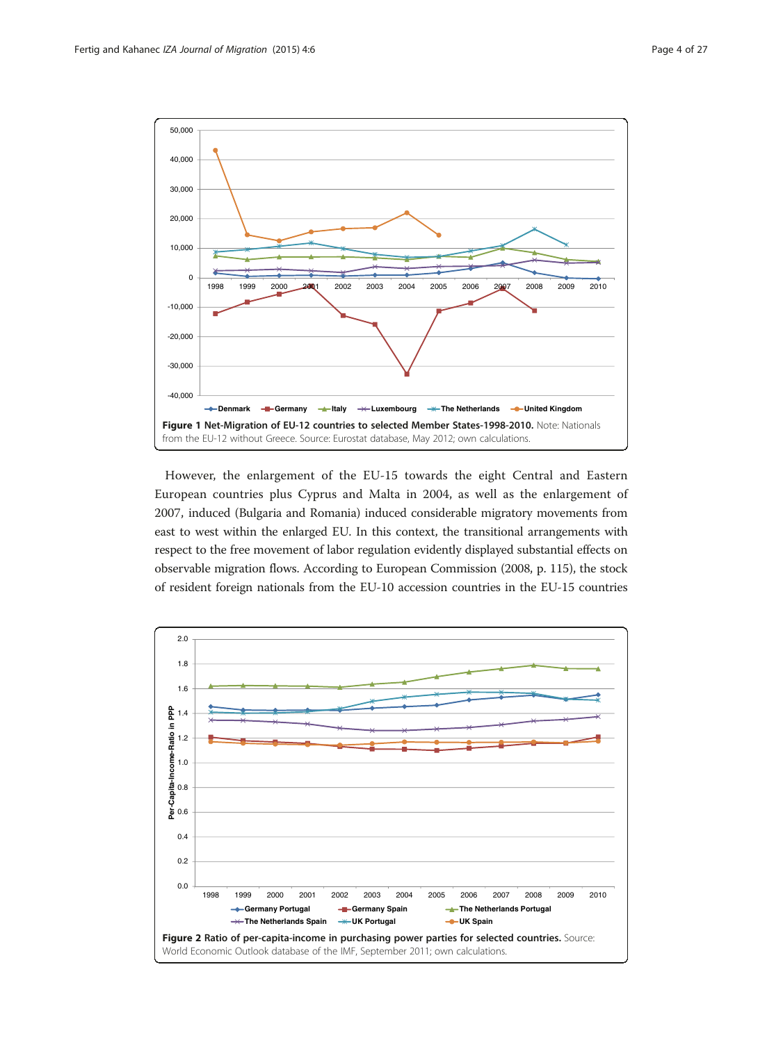<span id="page-3-0"></span>

However, the enlargement of the EU-15 towards the eight Central and Eastern European countries plus Cyprus and Malta in 2004, as well as the enlargement of 2007, induced (Bulgaria and Romania) induced considerable migratory movements from east to west within the enlarged EU. In this context, the transitional arrangements with respect to the free movement of labor regulation evidently displayed substantial effects on observable migration flows. According to European Commission [\(2008](#page-25-0), p. 115), the stock of resident foreign nationals from the EU-10 accession countries in the EU-15 countries

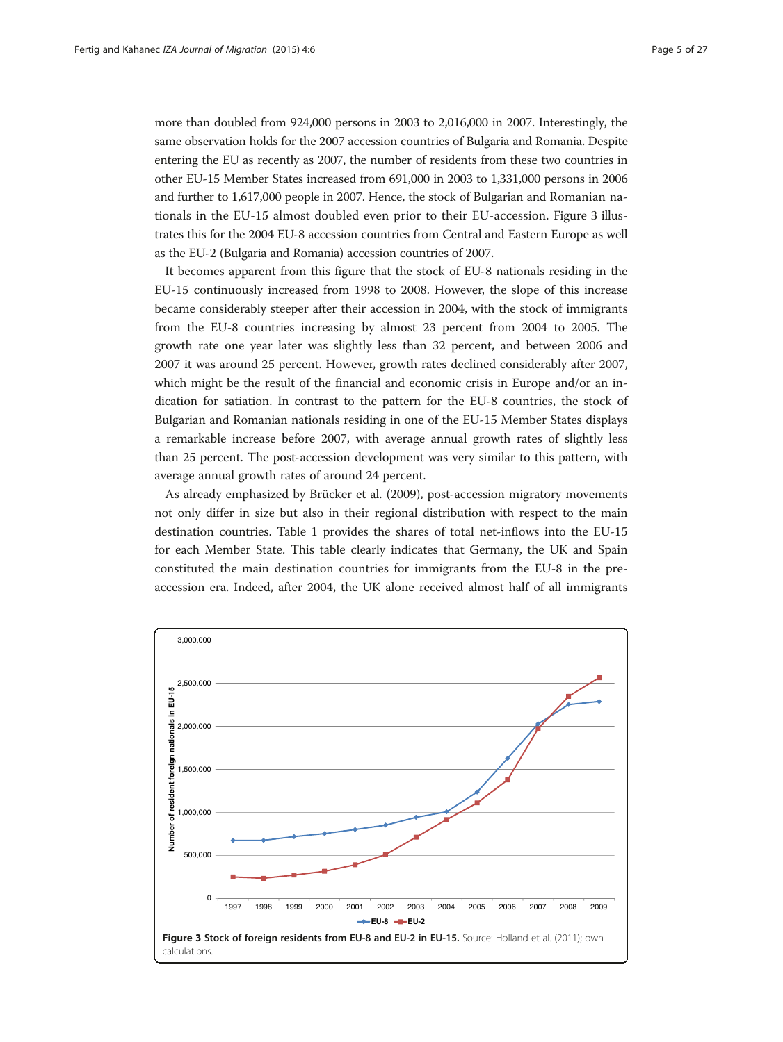more than doubled from 924,000 persons in 2003 to 2,016,000 in 2007. Interestingly, the same observation holds for the 2007 accession countries of Bulgaria and Romania. Despite entering the EU as recently as 2007, the number of residents from these two countries in other EU-15 Member States increased from 691,000 in 2003 to 1,331,000 persons in 2006 and further to 1,617,000 people in 2007. Hence, the stock of Bulgarian and Romanian nationals in the EU-15 almost doubled even prior to their EU-accession. Figure 3 illustrates this for the 2004 EU-8 accession countries from Central and Eastern Europe as well as the EU-2 (Bulgaria and Romania) accession countries of 2007.

It becomes apparent from this figure that the stock of EU-8 nationals residing in the EU-15 continuously increased from 1998 to 2008. However, the slope of this increase became considerably steeper after their accession in 2004, with the stock of immigrants from the EU-8 countries increasing by almost 23 percent from 2004 to 2005. The growth rate one year later was slightly less than 32 percent, and between 2006 and 2007 it was around 25 percent. However, growth rates declined considerably after 2007, which might be the result of the financial and economic crisis in Europe and/or an indication for satiation. In contrast to the pattern for the EU-8 countries, the stock of Bulgarian and Romanian nationals residing in one of the EU-15 Member States displays a remarkable increase before 2007, with average annual growth rates of slightly less than 25 percent. The post-accession development was very similar to this pattern, with average annual growth rates of around 24 percent.

As already emphasized by Brücker et al. [\(2009\)](#page-25-0), post-accession migratory movements not only differ in size but also in their regional distribution with respect to the main destination countries. Table [1](#page-5-0) provides the shares of total net-inflows into the EU-15 for each Member State. This table clearly indicates that Germany, the UK and Spain constituted the main destination countries for immigrants from the EU-8 in the preaccession era. Indeed, after 2004, the UK alone received almost half of all immigrants

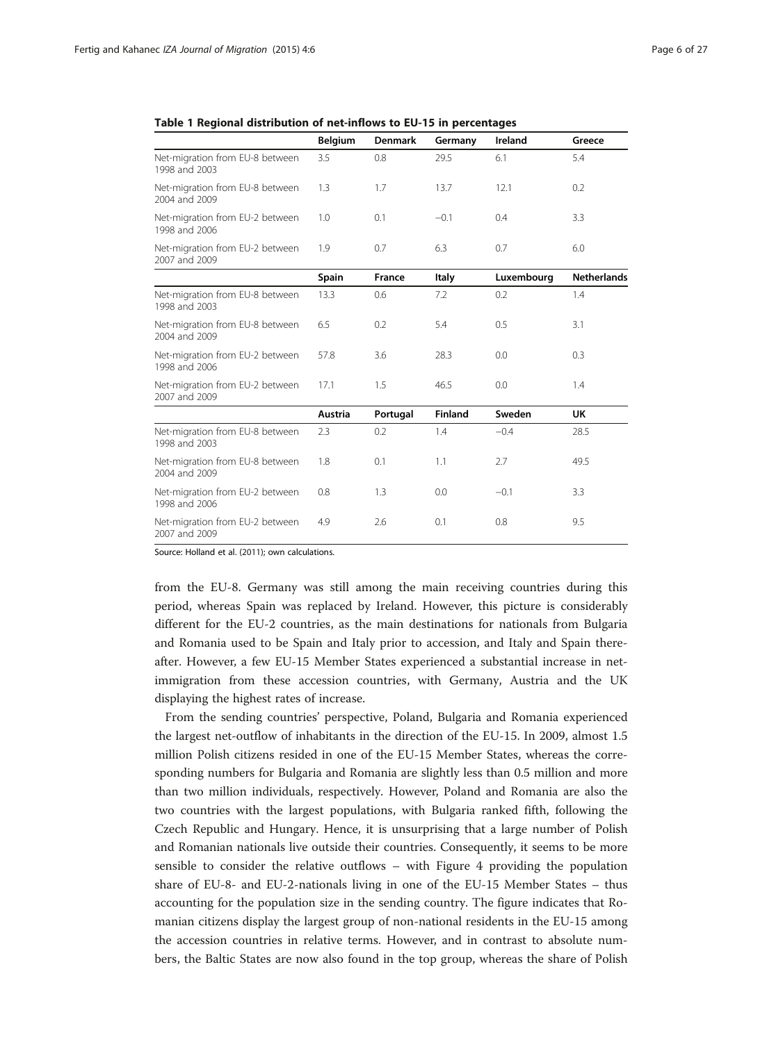|                                                  | <b>Belgium</b> | <b>Denmark</b> | Germany        | Ireland    | Greece             |
|--------------------------------------------------|----------------|----------------|----------------|------------|--------------------|
| Net-migration from EU-8 between<br>1998 and 2003 | 3.5            | 0.8            | 29.5           | 6.1        | 5.4                |
| Net-migration from EU-8 between<br>2004 and 2009 | 1.3            | 1.7            | 13.7           | 12.1       | 0.2                |
| Net-migration from EU-2 between<br>1998 and 2006 | 1.0            | 0.1            | $-0.1$         | 0.4        | 3.3                |
| Net-migration from EU-2 between<br>2007 and 2009 | 1.9            | 0.7            | 6.3            | 0.7        | 6.0                |
|                                                  | Spain          | <b>France</b>  | Italy          | Luxembourg | <b>Netherlands</b> |
| Net-migration from EU-8 between<br>1998 and 2003 | 13.3           | 0.6            | 7.2            | 0.2        | 1.4                |
| Net-migration from EU-8 between<br>2004 and 2009 | 6.5            | 0.2            | 5.4            | 0.5        | 3.1                |
| Net-migration from EU-2 between<br>1998 and 2006 | 57.8           | 3.6            | 28.3           | 0.0        | 0.3                |
| Net-migration from EU-2 between<br>2007 and 2009 | 17.1           | 1.5            | 46.5           | 0.0        | 1.4                |
|                                                  | <b>Austria</b> | Portugal       | <b>Finland</b> | Sweden     | UK                 |
| Net-migration from EU-8 between<br>1998 and 2003 | 2.3            | $0.2^{\circ}$  | 1.4            | $-0.4$     | 28.5               |
| Net-migration from EU-8 between<br>2004 and 2009 | 1.8            | 0.1            | 1.1            | 2.7        | 49.5               |
| Net-migration from EU-2 between<br>1998 and 2006 | 0.8            | 1.3            | 0.0            | $-0.1$     | 3.3                |
| Net-migration from EU-2 between<br>2007 and 2009 | 4.9            | 2.6            | 0.1            | 0.8        | 9.5                |

<span id="page-5-0"></span>

| Table 1 Regional distribution of net-inflows to EU-15 in percentages |  |  |  |  |
|----------------------------------------------------------------------|--|--|--|--|
|----------------------------------------------------------------------|--|--|--|--|

Source: Holland et al. [\(2011](#page-26-0)); own calculations.

from the EU-8. Germany was still among the main receiving countries during this period, whereas Spain was replaced by Ireland. However, this picture is considerably different for the EU-2 countries, as the main destinations for nationals from Bulgaria and Romania used to be Spain and Italy prior to accession, and Italy and Spain thereafter. However, a few EU-15 Member States experienced a substantial increase in netimmigration from these accession countries, with Germany, Austria and the UK displaying the highest rates of increase.

From the sending countries' perspective, Poland, Bulgaria and Romania experienced the largest net-outflow of inhabitants in the direction of the EU-15. In 2009, almost 1.5 million Polish citizens resided in one of the EU-15 Member States, whereas the corresponding numbers for Bulgaria and Romania are slightly less than 0.5 million and more than two million individuals, respectively. However, Poland and Romania are also the two countries with the largest populations, with Bulgaria ranked fifth, following the Czech Republic and Hungary. Hence, it is unsurprising that a large number of Polish and Romanian nationals live outside their countries. Consequently, it seems to be more sensible to consider the relative outflows – with Figure [4](#page-6-0) providing the population share of EU-8- and EU-2-nationals living in one of the EU-15 Member States – thus accounting for the population size in the sending country. The figure indicates that Romanian citizens display the largest group of non-national residents in the EU-15 among the accession countries in relative terms. However, and in contrast to absolute numbers, the Baltic States are now also found in the top group, whereas the share of Polish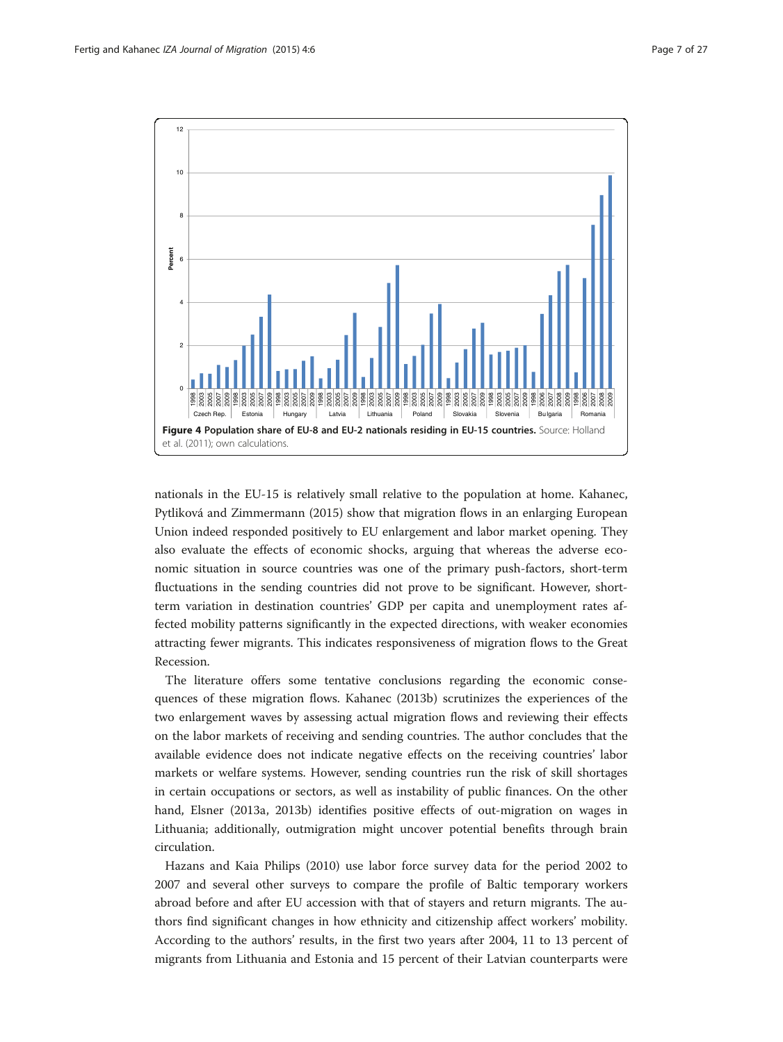<span id="page-6-0"></span>

nationals in the EU-15 is relatively small relative to the population at home. Kahanec, Pytliková and Zimmermann [\(2015\)](#page-26-0) show that migration flows in an enlarging European Union indeed responded positively to EU enlargement and labor market opening. They also evaluate the effects of economic shocks, arguing that whereas the adverse economic situation in source countries was one of the primary push-factors, short-term fluctuations in the sending countries did not prove to be significant. However, shortterm variation in destination countries' GDP per capita and unemployment rates affected mobility patterns significantly in the expected directions, with weaker economies attracting fewer migrants. This indicates responsiveness of migration flows to the Great Recession.

The literature offers some tentative conclusions regarding the economic consequences of these migration flows. Kahanec ([2013b\)](#page-26-0) scrutinizes the experiences of the two enlargement waves by assessing actual migration flows and reviewing their effects on the labor markets of receiving and sending countries. The author concludes that the available evidence does not indicate negative effects on the receiving countries' labor markets or welfare systems. However, sending countries run the risk of skill shortages in certain occupations or sectors, as well as instability of public finances. On the other hand, Elsner [\(2013a](#page-25-0), [2013b](#page-25-0)) identifies positive effects of out-migration on wages in Lithuania; additionally, outmigration might uncover potential benefits through brain circulation.

Hazans and Kaia Philips ([2010\)](#page-26-0) use labor force survey data for the period 2002 to 2007 and several other surveys to compare the profile of Baltic temporary workers abroad before and after EU accession with that of stayers and return migrants. The authors find significant changes in how ethnicity and citizenship affect workers' mobility. According to the authors' results, in the first two years after 2004, 11 to 13 percent of migrants from Lithuania and Estonia and 15 percent of their Latvian counterparts were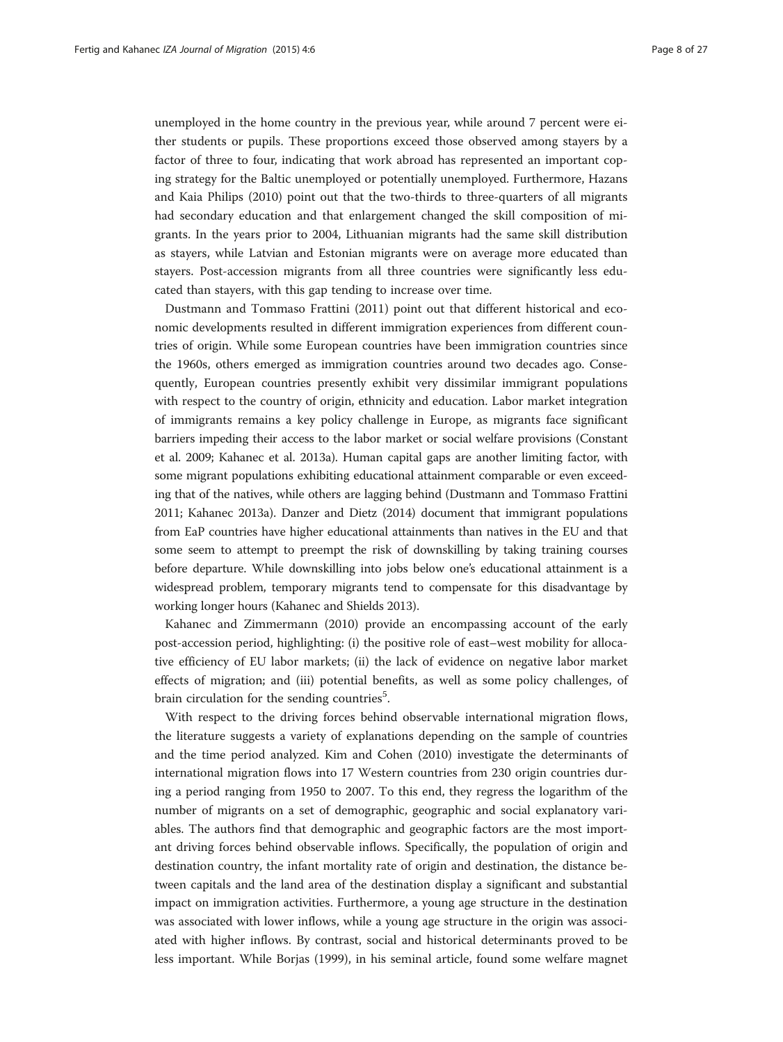unemployed in the home country in the previous year, while around 7 percent were either students or pupils. These proportions exceed those observed among stayers by a factor of three to four, indicating that work abroad has represented an important coping strategy for the Baltic unemployed or potentially unemployed. Furthermore, Hazans and Kaia Philips [\(2010\)](#page-26-0) point out that the two-thirds to three-quarters of all migrants had secondary education and that enlargement changed the skill composition of migrants. In the years prior to 2004, Lithuanian migrants had the same skill distribution as stayers, while Latvian and Estonian migrants were on average more educated than stayers. Post-accession migrants from all three countries were significantly less educated than stayers, with this gap tending to increase over time.

Dustmann and Tommaso Frattini [\(2011\)](#page-25-0) point out that different historical and economic developments resulted in different immigration experiences from different countries of origin. While some European countries have been immigration countries since the 1960s, others emerged as immigration countries around two decades ago. Consequently, European countries presently exhibit very dissimilar immigrant populations with respect to the country of origin, ethnicity and education. Labor market integration of immigrants remains a key policy challenge in Europe, as migrants face significant barriers impeding their access to the labor market or social welfare provisions (Constant et al. [2009;](#page-25-0) Kahanec et al. [2013a](#page-26-0)). Human capital gaps are another limiting factor, with some migrant populations exhibiting educational attainment comparable or even exceeding that of the natives, while others are lagging behind (Dustmann and Tommaso Frattini [2011;](#page-25-0) Kahanec [2013a](#page-26-0)). Danzer and Dietz [\(2014](#page-25-0)) document that immigrant populations from EaP countries have higher educational attainments than natives in the EU and that some seem to attempt to preempt the risk of downskilling by taking training courses before departure. While downskilling into jobs below one's educational attainment is a widespread problem, temporary migrants tend to compensate for this disadvantage by working longer hours (Kahanec and Shields [2013\)](#page-26-0).

Kahanec and Zimmermann [\(2010\)](#page-26-0) provide an encompassing account of the early post-accession period, highlighting: (i) the positive role of east–west mobility for allocative efficiency of EU labor markets; (ii) the lack of evidence on negative labor market effects of migration; and (iii) potential benefits, as well as some policy challenges, of brain circulation for the sending countries<sup>5</sup>.

With respect to the driving forces behind observable international migration flows, the literature suggests a variety of explanations depending on the sample of countries and the time period analyzed. Kim and Cohen [\(2010\)](#page-26-0) investigate the determinants of international migration flows into 17 Western countries from 230 origin countries during a period ranging from 1950 to 2007. To this end, they regress the logarithm of the number of migrants on a set of demographic, geographic and social explanatory variables. The authors find that demographic and geographic factors are the most important driving forces behind observable inflows. Specifically, the population of origin and destination country, the infant mortality rate of origin and destination, the distance between capitals and the land area of the destination display a significant and substantial impact on immigration activities. Furthermore, a young age structure in the destination was associated with lower inflows, while a young age structure in the origin was associated with higher inflows. By contrast, social and historical determinants proved to be less important. While Borjas (1999), in his seminal article, found some welfare magnet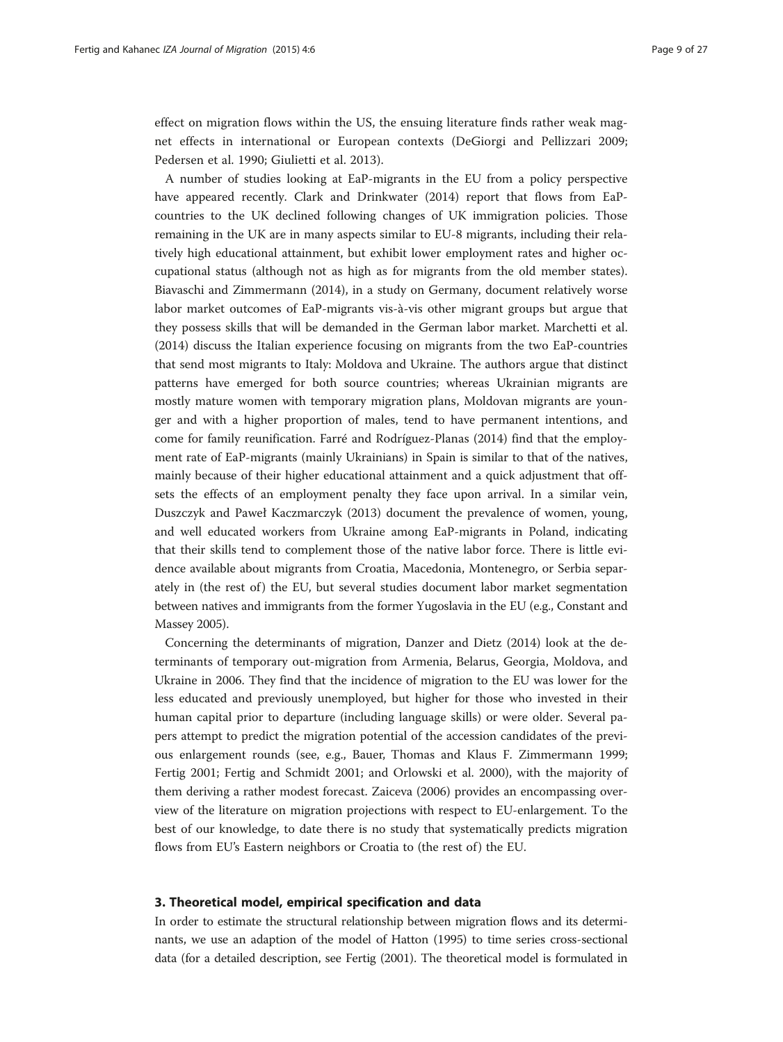<span id="page-8-0"></span>effect on migration flows within the US, the ensuing literature finds rather weak magnet effects in international or European contexts (DeGiorgi and Pellizzari [2009](#page-25-0); Pedersen et al. [1990](#page-26-0); Giulietti et al. [2013\)](#page-25-0).

A number of studies looking at EaP-migrants in the EU from a policy perspective have appeared recently. Clark and Drinkwater ([2014](#page-25-0)) report that flows from EaPcountries to the UK declined following changes of UK immigration policies. Those remaining in the UK are in many aspects similar to EU-8 migrants, including their relatively high educational attainment, but exhibit lower employment rates and higher occupational status (although not as high as for migrants from the old member states). Biavaschi and Zimmermann ([2014\)](#page-25-0), in a study on Germany, document relatively worse labor market outcomes of EaP-migrants vis-à-vis other migrant groups but argue that they possess skills that will be demanded in the German labor market. Marchetti et al. ([2014](#page-26-0)) discuss the Italian experience focusing on migrants from the two EaP-countries that send most migrants to Italy: Moldova and Ukraine. The authors argue that distinct patterns have emerged for both source countries; whereas Ukrainian migrants are mostly mature women with temporary migration plans, Moldovan migrants are younger and with a higher proportion of males, tend to have permanent intentions, and come for family reunification. Farré and Rodríguez-Planas [\(2014\)](#page-25-0) find that the employment rate of EaP-migrants (mainly Ukrainians) in Spain is similar to that of the natives, mainly because of their higher educational attainment and a quick adjustment that offsets the effects of an employment penalty they face upon arrival. In a similar vein, Duszczyk and Paweł Kaczmarczyk [\(2013\)](#page-25-0) document the prevalence of women, young, and well educated workers from Ukraine among EaP-migrants in Poland, indicating that their skills tend to complement those of the native labor force. There is little evidence available about migrants from Croatia, Macedonia, Montenegro, or Serbia separately in (the rest of) the EU, but several studies document labor market segmentation between natives and immigrants from the former Yugoslavia in the EU (e.g., Constant and Massey [2005](#page-25-0)).

Concerning the determinants of migration, Danzer and Dietz ([2014](#page-25-0)) look at the determinants of temporary out-migration from Armenia, Belarus, Georgia, Moldova, and Ukraine in 2006. They find that the incidence of migration to the EU was lower for the less educated and previously unemployed, but higher for those who invested in their human capital prior to departure (including language skills) or were older. Several papers attempt to predict the migration potential of the accession candidates of the previous enlargement rounds (see, e.g., Bauer, Thomas and Klaus F. Zimmermann [1999](#page-25-0); Fertig [2001;](#page-25-0) Fertig and Schmidt [2001](#page-25-0); and Orlowski et al. [2000](#page-26-0)), with the majority of them deriving a rather modest forecast. Zaiceva [\(2006\)](#page-26-0) provides an encompassing overview of the literature on migration projections with respect to EU-enlargement. To the best of our knowledge, to date there is no study that systematically predicts migration flows from EU's Eastern neighbors or Croatia to (the rest of) the EU.

## 3. Theoretical model, empirical specification and data

In order to estimate the structural relationship between migration flows and its determinants, we use an adaption of the model of Hatton ([1995](#page-25-0)) to time series cross-sectional data (for a detailed description, see Fertig [\(2001\)](#page-25-0). The theoretical model is formulated in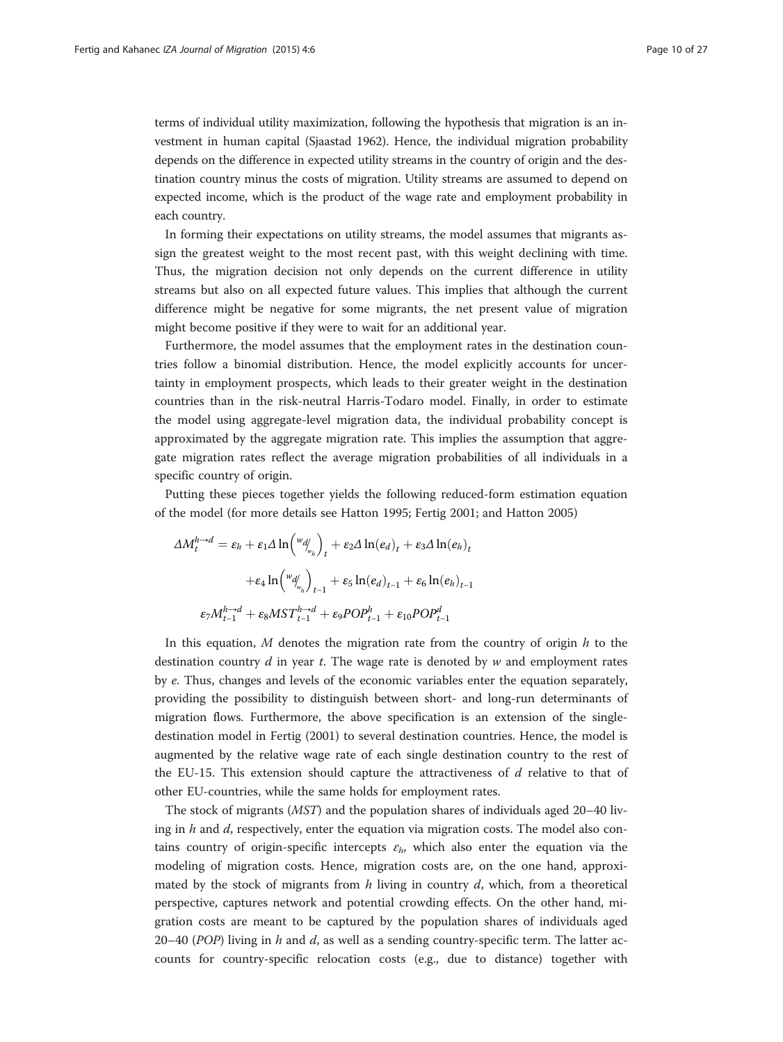terms of individual utility maximization, following the hypothesis that migration is an investment in human capital (Sjaastad [1962\)](#page-26-0). Hence, the individual migration probability depends on the difference in expected utility streams in the country of origin and the destination country minus the costs of migration. Utility streams are assumed to depend on expected income, which is the product of the wage rate and employment probability in each country.

In forming their expectations on utility streams, the model assumes that migrants assign the greatest weight to the most recent past, with this weight declining with time. Thus, the migration decision not only depends on the current difference in utility streams but also on all expected future values. This implies that although the current difference might be negative for some migrants, the net present value of migration might become positive if they were to wait for an additional year.

Furthermore, the model assumes that the employment rates in the destination countries follow a binomial distribution. Hence, the model explicitly accounts for uncertainty in employment prospects, which leads to their greater weight in the destination countries than in the risk-neutral Harris-Todaro model. Finally, in order to estimate the model using aggregate-level migration data, the individual probability concept is approximated by the aggregate migration rate. This implies the assumption that aggregate migration rates reflect the average migration probabilities of all individuals in a specific country of origin.

Putting these pieces together yields the following reduced-form estimation equation of the model (for more details see Hatton [1995;](#page-25-0) Fertig [2001](#page-25-0); and Hatton [2005\)](#page-25-0)

$$
\Delta M_t^{h \to d} = \varepsilon_h + \varepsilon_1 \Delta \ln \left( \frac{w_{d_{w_h}}}{w_h} \right)_t + \varepsilon_2 \Delta \ln(e_d)_t + \varepsilon_3 \Delta \ln(e_h)_t
$$

$$
+ \varepsilon_4 \ln \left( \frac{w_{d_{w_h}}}{w_h} \right)_{t-1} + \varepsilon_5 \ln(e_d)_{t-1} + \varepsilon_6 \ln(e_h)_{t-1}
$$

$$
\varepsilon_7 M_{t-1}^{h \to d} + \varepsilon_8 M S T_{t-1}^{h \to d} + \varepsilon_9 P O P_{t-1}^h + \varepsilon_{10} P O P_{t-1}^d
$$

In this equation,  $M$  denotes the migration rate from the country of origin  $h$  to the destination country  $d$  in year  $t$ . The wage rate is denoted by  $w$  and employment rates by e. Thus, changes and levels of the economic variables enter the equation separately, providing the possibility to distinguish between short- and long-run determinants of migration flows. Furthermore, the above specification is an extension of the singledestination model in Fertig ([2001](#page-25-0)) to several destination countries. Hence, the model is augmented by the relative wage rate of each single destination country to the rest of the EU-15. This extension should capture the attractiveness of  $d$  relative to that of other EU-countries, while the same holds for employment rates.

The stock of migrants (MST) and the population shares of individuals aged 20–40 living in  $h$  and  $d$ , respectively, enter the equation via migration costs. The model also contains country of origin-specific intercepts  $\varepsilon_h$ , which also enter the equation via the modeling of migration costs. Hence, migration costs are, on the one hand, approximated by the stock of migrants from  $h$  living in country  $d$ , which, from a theoretical perspective, captures network and potential crowding effects. On the other hand, migration costs are meant to be captured by the population shares of individuals aged 20–40 (POP) living in h and d, as well as a sending country-specific term. The latter accounts for country-specific relocation costs (e.g., due to distance) together with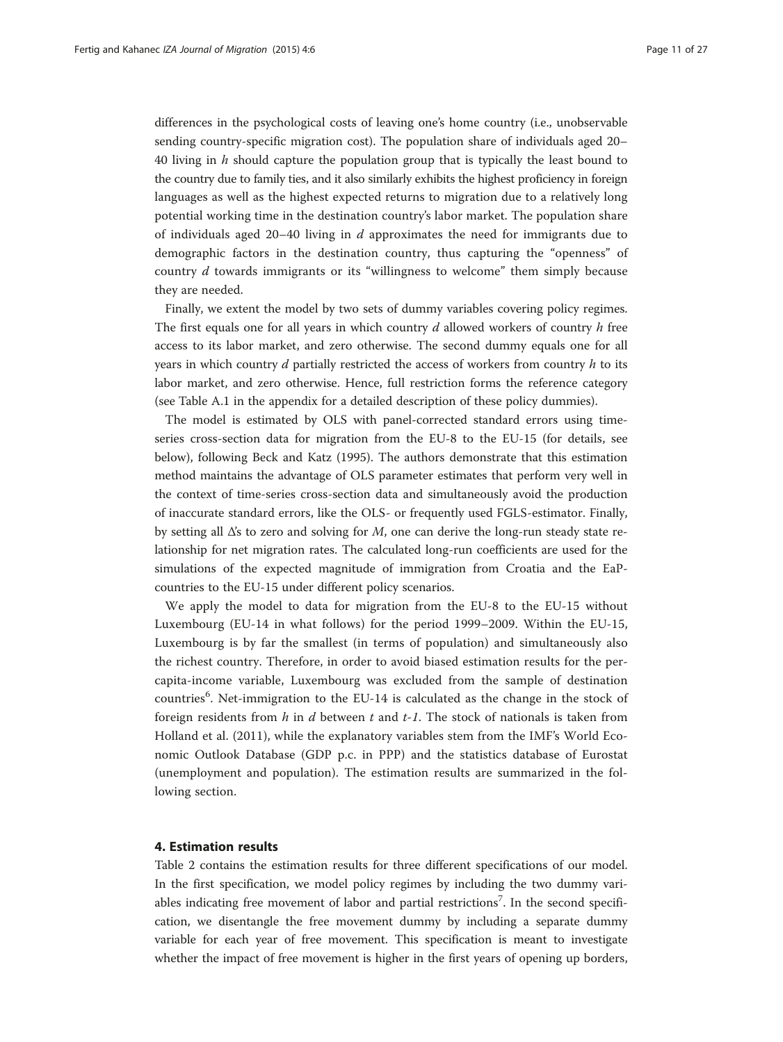<span id="page-10-0"></span>differences in the psychological costs of leaving one's home country (i.e., unobservable sending country-specific migration cost). The population share of individuals aged 20– 40 living in  $h$  should capture the population group that is typically the least bound to the country due to family ties, and it also similarly exhibits the highest proficiency in foreign languages as well as the highest expected returns to migration due to a relatively long potential working time in the destination country's labor market. The population share of individuals aged 20–40 living in  $d$  approximates the need for immigrants due to demographic factors in the destination country, thus capturing the "openness" of country d towards immigrants or its "willingness to welcome" them simply because they are needed.

Finally, we extent the model by two sets of dummy variables covering policy regimes. The first equals one for all years in which country  $d$  allowed workers of country  $h$  free access to its labor market, and zero otherwise. The second dummy equals one for all years in which country  $d$  partially restricted the access of workers from country  $h$  to its labor market, and zero otherwise. Hence, full restriction forms the reference category (see Table A.1 in the appendix for a detailed description of these policy dummies).

The model is estimated by OLS with panel-corrected standard errors using timeseries cross-section data for migration from the EU-8 to the EU-15 (for details, see below), following Beck and Katz [\(1995\)](#page-25-0). The authors demonstrate that this estimation method maintains the advantage of OLS parameter estimates that perform very well in the context of time-series cross-section data and simultaneously avoid the production of inaccurate standard errors, like the OLS- or frequently used FGLS-estimator. Finally, by setting all  $\Delta$ 's to zero and solving for M, one can derive the long-run steady state relationship for net migration rates. The calculated long-run coefficients are used for the simulations of the expected magnitude of immigration from Croatia and the EaPcountries to the EU-15 under different policy scenarios.

We apply the model to data for migration from the EU-8 to the EU-15 without Luxembourg (EU-14 in what follows) for the period 1999–2009. Within the EU-15, Luxembourg is by far the smallest (in terms of population) and simultaneously also the richest country. Therefore, in order to avoid biased estimation results for the percapita-income variable, Luxembourg was excluded from the sample of destination countries<sup>6</sup>. Net-immigration to the EU-14 is calculated as the change in the stock of foreign residents from  $h$  in  $d$  between  $t$  and  $t$ -1. The stock of nationals is taken from Holland et al. [\(2011](#page-26-0)), while the explanatory variables stem from the IMF's World Economic Outlook Database (GDP p.c. in PPP) and the statistics database of Eurostat (unemployment and population). The estimation results are summarized in the following section.

#### 4. Estimation results

Table [2](#page-11-0) contains the estimation results for three different specifications of our model. In the first specification, we model policy regimes by including the two dummy variables indicating free movement of labor and partial restrictions<sup>7</sup>. In the second specification, we disentangle the free movement dummy by including a separate dummy variable for each year of free movement. This specification is meant to investigate whether the impact of free movement is higher in the first years of opening up borders,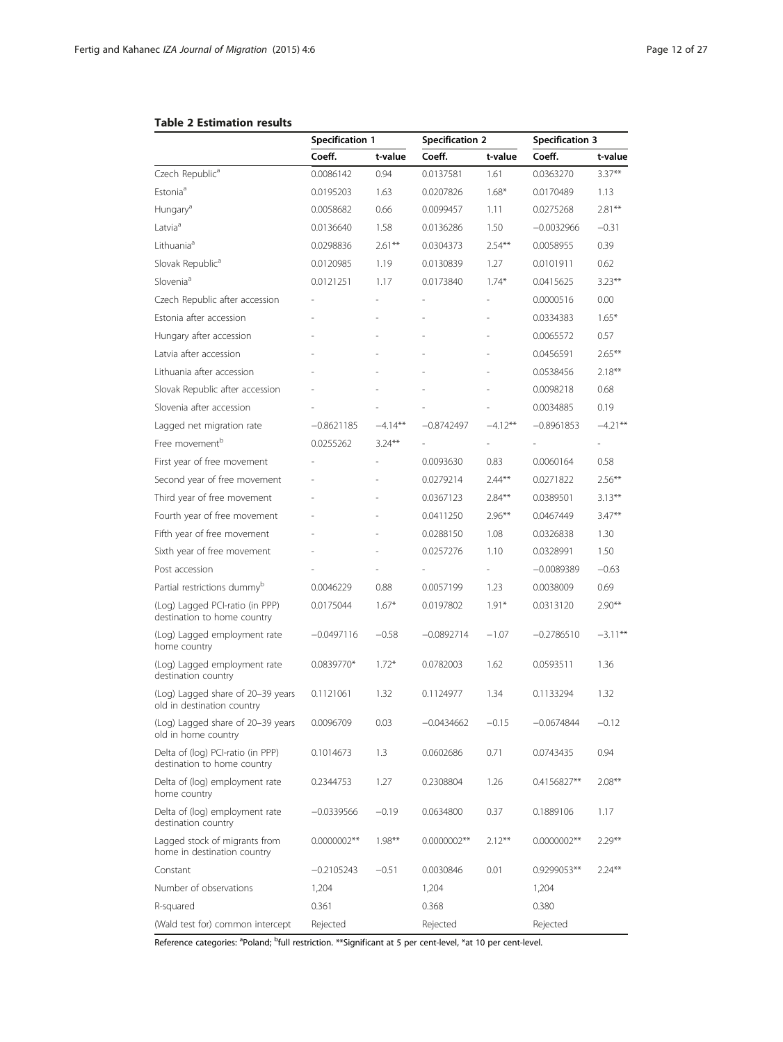<span id="page-11-0"></span>

|  |  | <b>Table 2 Estimation results</b> |  |
|--|--|-----------------------------------|--|
|--|--|-----------------------------------|--|

|                                                                  | <b>Specification 1</b> |            | <b>Specification 2</b> |           | <b>Specification 3</b> |            |
|------------------------------------------------------------------|------------------------|------------|------------------------|-----------|------------------------|------------|
|                                                                  | Coeff.                 | t-value    | Coeff.                 | t-value   | Coeff.                 | t-value    |
| Czech Republic <sup>a</sup>                                      | 0.0086142              | 0.94       | 0.0137581              | 1.61      | 0.0363270              | $3.37***$  |
| Estonia <sup>a</sup>                                             | 0.0195203              | 1.63       | 0.0207826              | $1.68*$   | 0.0170489              | 1.13       |
| Hungary <sup>a</sup>                                             | 0.0058682              | 0.66       | 0.0099457              | 1.11      | 0.0275268              | $2.81***$  |
| Latvia <sup>a</sup>                                              | 0.0136640              | 1.58       | 0.0136286              | 1.50      | $-0.0032966$           | $-0.31$    |
| Lithuania <sup>a</sup>                                           | 0.0298836              | $2.61***$  | 0.0304373              | $2.54***$ | 0.0058955              | 0.39       |
| Slovak Republic <sup>a</sup>                                     | 0.0120985              | 1.19       | 0.0130839              | 1.27      | 0.0101911              | 0.62       |
| Slovenia <sup>a</sup>                                            | 0.0121251              | 1.17       | 0.0173840              | $1.74*$   | 0.0415625              | $3.23***$  |
| Czech Republic after accession                                   |                        |            |                        |           | 0.0000516              | 0.00       |
| Estonia after accession                                          |                        |            |                        |           | 0.0334383              | $1.65*$    |
| Hungary after accession                                          |                        |            |                        |           | 0.0065572              | 0.57       |
| Latvia after accession                                           |                        |            |                        |           | 0.0456591              | $2.65***$  |
| Lithuania after accession                                        |                        |            |                        |           | 0.0538456              | $2.18***$  |
| Slovak Republic after accession                                  |                        |            |                        |           | 0.0098218              | 0.68       |
| Slovenia after accession                                         |                        |            |                        |           | 0.0034885              | 0.19       |
| Lagged net migration rate                                        | $-0.8621185$           | $-4.14***$ | $-0.8742497$           | $-4.12**$ | $-0.8961853$           | $-4.21***$ |
| Free movement <sup>b</sup>                                       | 0.0255262              | $3.24***$  |                        |           |                        |            |
| First year of free movement                                      |                        |            | 0.0093630              | 0.83      | 0.0060164              | 0.58       |
| Second year of free movement                                     |                        |            | 0.0279214              | $2.44***$ | 0.0271822              | $2.56***$  |
| Third year of free movement                                      |                        |            | 0.0367123              | $2.84***$ | 0.0389501              | $3.13***$  |
| Fourth year of free movement                                     |                        |            | 0.0411250              | $2.96***$ | 0.0467449              | $3.47***$  |
| Fifth year of free movement                                      |                        |            | 0.0288150              | 1.08      | 0.0326838              | 1.30       |
| Sixth year of free movement                                      |                        |            | 0.0257276              | 1.10      | 0.0328991              | 1.50       |
| Post accession                                                   |                        |            |                        |           | $-0.0089389$           | $-0.63$    |
| Partial restrictions dummy <sup>p</sup>                          | 0.0046229              | 0.88       | 0.0057199              | 1.23      | 0.0038009              | 0.69       |
| (Log) Lagged PCI-ratio (in PPP)<br>destination to home country   | 0.0175044              | $1.67*$    | 0.0197802              | $1.91*$   | 0.0313120              | $2.90**$   |
| (Log) Lagged employment rate<br>home country                     | $-0.0497116$           | $-0.58$    | $-0.0892714$           | $-1.07$   | $-0.2786510$           | $-3.11***$ |
| (Log) Lagged employment rate<br>destination country              | 0.0839770*             | $1.72*$    | 0.0782003              | 1.62      | 0.0593511              | 1.36       |
| (Log) Lagged share of 20-39 years<br>old in destination country  | 0.1121061              | 1.32       | 0.1124977              | 1.34      | 0.1133294              | 1.32       |
| (Log) Lagged share of 20-39 years<br>old in home country         | 0.0096709              | 0.03       | $-0.0434662$           | $-0.15$   | $-0.0674844$           | $-0.12$    |
| Delta of (log) PCI-ratio (in PPP)<br>destination to home country | 0.1014673              | 1.3        | 0.0602686              | 0.71      | 0.0743435              | 0.94       |
| Delta of (log) employment rate<br>home country                   | 0.2344753              | 1.27       | 0.2308804              | 1.26      | 0.4156827**            | $2.08***$  |
| Delta of (log) employment rate<br>destination country            | $-0.0339566$           | $-0.19$    | 0.0634800              | 0.37      | 0.1889106              | 1.17       |
| Lagged stock of migrants from<br>home in destination country     | 0.0000002**            | $1.98***$  | $0.0000002**$          | $2.12***$ | $0.0000002**$          | $2.29***$  |
| Constant                                                         | $-0.2105243$           | $-0.51$    | 0.0030846              | 0.01      | 0.9299053**            | $2.24***$  |
| Number of observations                                           | 1,204                  |            | 1,204                  |           | 1,204                  |            |
| R-squared                                                        | 0.361                  |            | 0.368                  |           | 0.380                  |            |
| (Wald test for) common intercept                                 | Rejected               |            | Rejected               |           | Rejected               |            |

Reference categories: <sup>a</sup>Poland; <sup>b</sup>full restriction. \*\*Significant at 5 per cent-level, \*at 10 per cent-level.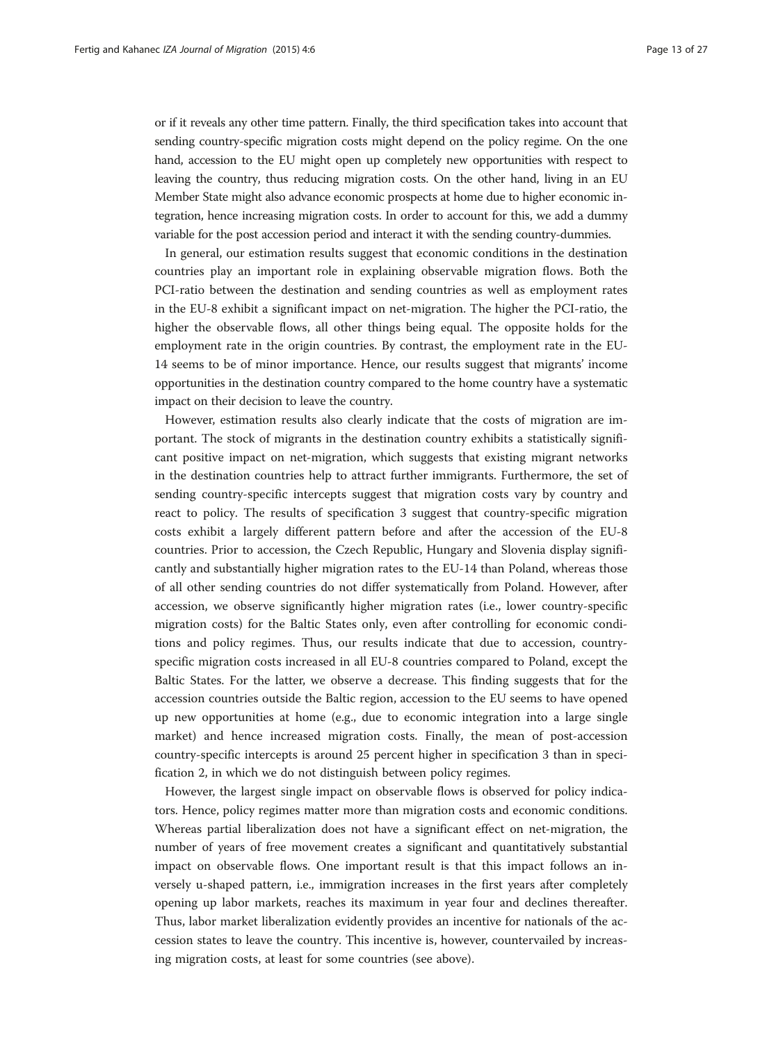or if it reveals any other time pattern. Finally, the third specification takes into account that sending country-specific migration costs might depend on the policy regime. On the one hand, accession to the EU might open up completely new opportunities with respect to leaving the country, thus reducing migration costs. On the other hand, living in an EU Member State might also advance economic prospects at home due to higher economic integration, hence increasing migration costs. In order to account for this, we add a dummy variable for the post accession period and interact it with the sending country-dummies.

In general, our estimation results suggest that economic conditions in the destination countries play an important role in explaining observable migration flows. Both the PCI-ratio between the destination and sending countries as well as employment rates in the EU-8 exhibit a significant impact on net-migration. The higher the PCI-ratio, the higher the observable flows, all other things being equal. The opposite holds for the employment rate in the origin countries. By contrast, the employment rate in the EU-14 seems to be of minor importance. Hence, our results suggest that migrants' income opportunities in the destination country compared to the home country have a systematic impact on their decision to leave the country.

However, estimation results also clearly indicate that the costs of migration are important. The stock of migrants in the destination country exhibits a statistically significant positive impact on net-migration, which suggests that existing migrant networks in the destination countries help to attract further immigrants. Furthermore, the set of sending country-specific intercepts suggest that migration costs vary by country and react to policy. The results of specification 3 suggest that country-specific migration costs exhibit a largely different pattern before and after the accession of the EU-8 countries. Prior to accession, the Czech Republic, Hungary and Slovenia display significantly and substantially higher migration rates to the EU-14 than Poland, whereas those of all other sending countries do not differ systematically from Poland. However, after accession, we observe significantly higher migration rates (i.e., lower country-specific migration costs) for the Baltic States only, even after controlling for economic conditions and policy regimes. Thus, our results indicate that due to accession, countryspecific migration costs increased in all EU-8 countries compared to Poland, except the Baltic States. For the latter, we observe a decrease. This finding suggests that for the accession countries outside the Baltic region, accession to the EU seems to have opened up new opportunities at home (e.g., due to economic integration into a large single market) and hence increased migration costs. Finally, the mean of post-accession country-specific intercepts is around 25 percent higher in specification 3 than in specification 2, in which we do not distinguish between policy regimes.

However, the largest single impact on observable flows is observed for policy indicators. Hence, policy regimes matter more than migration costs and economic conditions. Whereas partial liberalization does not have a significant effect on net-migration, the number of years of free movement creates a significant and quantitatively substantial impact on observable flows. One important result is that this impact follows an inversely u-shaped pattern, i.e., immigration increases in the first years after completely opening up labor markets, reaches its maximum in year four and declines thereafter. Thus, labor market liberalization evidently provides an incentive for nationals of the accession states to leave the country. This incentive is, however, countervailed by increasing migration costs, at least for some countries (see above).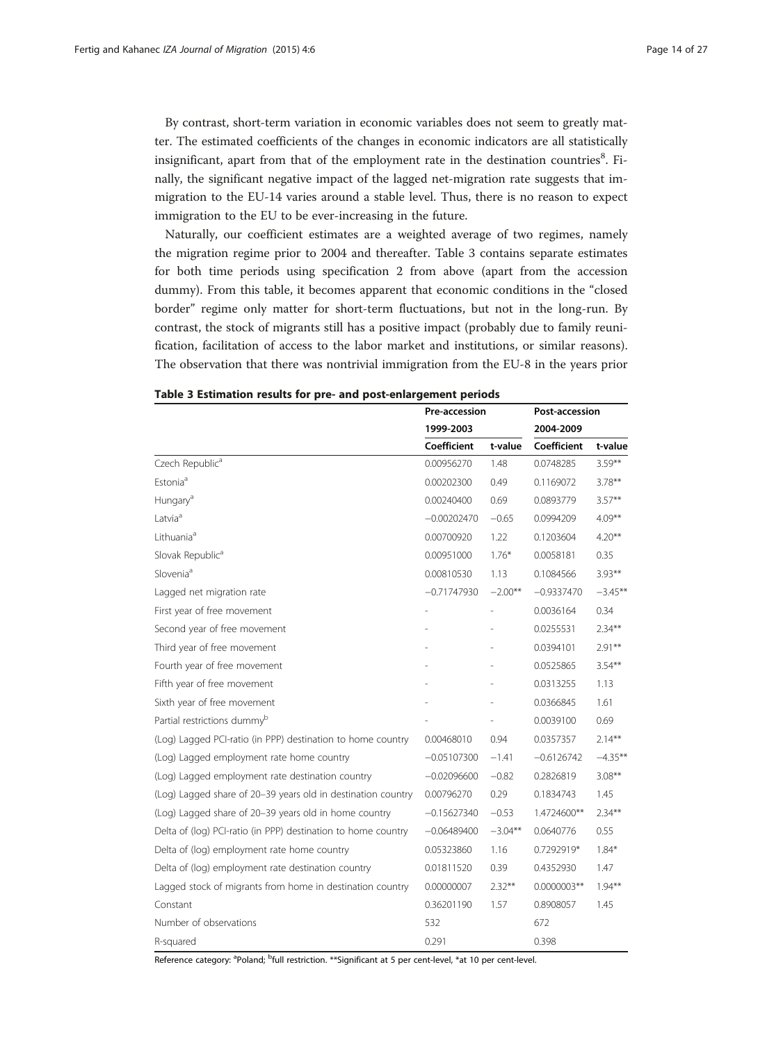<span id="page-13-0"></span>By contrast, short-term variation in economic variables does not seem to greatly matter. The estimated coefficients of the changes in economic indicators are all statistically insignificant, apart from that of the employment rate in the destination countries<sup>8</sup>. Finally, the significant negative impact of the lagged net-migration rate suggests that immigration to the EU-14 varies around a stable level. Thus, there is no reason to expect immigration to the EU to be ever-increasing in the future.

Naturally, our coefficient estimates are a weighted average of two regimes, namely the migration regime prior to 2004 and thereafter. Table 3 contains separate estimates for both time periods using specification 2 from above (apart from the accession dummy). From this table, it becomes apparent that economic conditions in the "closed border" regime only matter for short-term fluctuations, but not in the long-run. By contrast, the stock of migrants still has a positive impact (probably due to family reunification, facilitation of access to the labor market and institutions, or similar reasons). The observation that there was nontrivial immigration from the EU-8 in the years prior

|                                                               | Pre-accession |            | Post-accession |            |
|---------------------------------------------------------------|---------------|------------|----------------|------------|
|                                                               | 1999-2003     |            | 2004-2009      |            |
|                                                               | Coefficient   | t-value    | Coefficient    | t-value    |
| Czech Republic <sup>a</sup>                                   | 0.00956270    | 1.48       | 0.0748285      | $3.59**$   |
| Estonia <sup>a</sup>                                          | 0.00202300    | 0.49       | 0.1169072      | $3.78**$   |
| Hungary <sup>a</sup>                                          | 0.00240400    | 0.69       | 0.0893779      | $3.57***$  |
| Latvia <sup>a</sup>                                           | $-0.00202470$ | $-0.65$    | 0.0994209      | $4.09***$  |
| Lithuania <sup>a</sup>                                        | 0.00700920    | 1.22       | 0.1203604      | $4.20**$   |
| Slovak Republic <sup>a</sup>                                  | 0.00951000    | $1.76*$    | 0.0058181      | 0.35       |
| Slovenia <sup>a</sup>                                         | 0.00810530    | 1.13       | 0.1084566      | $3.93***$  |
| Lagged net migration rate                                     | $-0.71747930$ | $-2.00**$  | $-0.9337470$   | $-3.45**$  |
| First year of free movement                                   |               |            | 0.0036164      | 0.34       |
| Second year of free movement                                  |               |            | 0.0255531      | $2.34***$  |
| Third year of free movement                                   |               |            | 0.0394101      | $2.91**$   |
| Fourth year of free movement                                  |               |            | 0.0525865      | $3.54**$   |
| Fifth year of free movement                                   |               |            | 0.0313255      | 1.13       |
| Sixth year of free movement                                   |               |            | 0.0366845      | 1.61       |
| Partial restrictions dummy <sup>b</sup>                       |               |            | 0.0039100      | 0.69       |
| (Log) Lagged PCI-ratio (in PPP) destination to home country   | 0.00468010    | 0.94       | 0.0357357      | $2.14***$  |
| (Log) Lagged employment rate home country                     | $-0.05107300$ | $-1.41$    | $-0.6126742$   | $-4.35***$ |
| (Log) Lagged employment rate destination country              | $-0.02096600$ | $-0.82$    | 0.2826819      | $3.08***$  |
| (Log) Lagged share of 20-39 years old in destination country  | 0.00796270    | 0.29       | 0.1834743      | 1.45       |
| (Log) Lagged share of 20-39 years old in home country         | $-0.15627340$ | $-0.53$    | 1.4724600**    | $2.34***$  |
| Delta of (log) PCI-ratio (in PPP) destination to home country | $-0.06489400$ | $-3.04***$ | 0.0640776      | 0.55       |
| Delta of (log) employment rate home country                   | 0.05323860    | 1.16       | 0.7292919*     | $1.84*$    |
| Delta of (log) employment rate destination country            | 0.01811520    | 0.39       | 0.4352930      | 1.47       |
| Lagged stock of migrants from home in destination country     | 0.00000007    | $2.32***$  | 0.0000003**    | $1.94***$  |
| Constant                                                      | 0.36201190    | 1.57       | 0.8908057      | 1.45       |
| Number of observations                                        | 532           |            | 672            |            |
| R-squared                                                     | 0.291         |            | 0.398          |            |

## Table 3 Estimation results for pre- and post-enlargement periods

Reference category: <sup>a</sup>Poland; <sup>b</sup>full restriction. \*\*Significant at 5 per cent-level, \*at 10 per cent-level.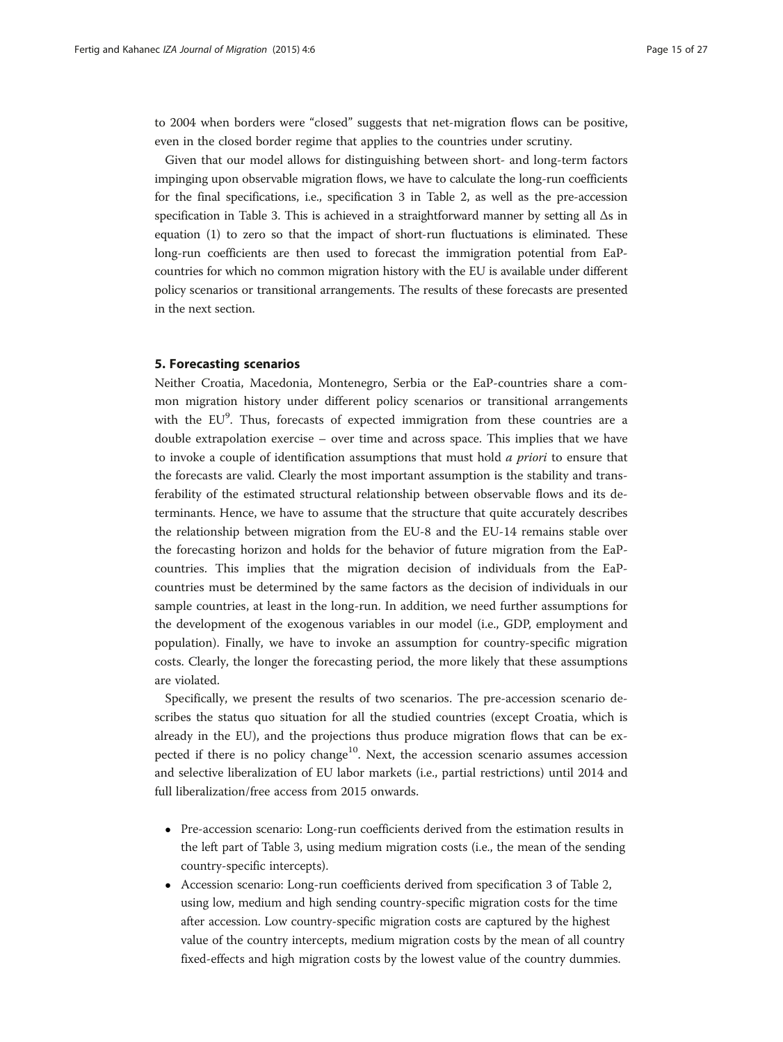<span id="page-14-0"></span>to 2004 when borders were "closed" suggests that net-migration flows can be positive, even in the closed border regime that applies to the countries under scrutiny.

Given that our model allows for distinguishing between short- and long-term factors impinging upon observable migration flows, we have to calculate the long-run coefficients for the final specifications, i.e., specification 3 in Table [2](#page-11-0), as well as the pre-accession specification in Table [3](#page-13-0). This is achieved in a straightforward manner by setting all Δs in equation (1) to zero so that the impact of short-run fluctuations is eliminated. These long-run coefficients are then used to forecast the immigration potential from EaPcountries for which no common migration history with the EU is available under different policy scenarios or transitional arrangements. The results of these forecasts are presented in the next section.

## 5. Forecasting scenarios

Neither Croatia, Macedonia, Montenegro, Serbia or the EaP-countries share a common migration history under different policy scenarios or transitional arrangements with the EU<sup>9</sup>. Thus, forecasts of expected immigration from these countries are a double extrapolation exercise – over time and across space. This implies that we have to invoke a couple of identification assumptions that must hold  $a$  priori to ensure that the forecasts are valid. Clearly the most important assumption is the stability and transferability of the estimated structural relationship between observable flows and its determinants. Hence, we have to assume that the structure that quite accurately describes the relationship between migration from the EU-8 and the EU-14 remains stable over the forecasting horizon and holds for the behavior of future migration from the EaPcountries. This implies that the migration decision of individuals from the EaPcountries must be determined by the same factors as the decision of individuals in our sample countries, at least in the long-run. In addition, we need further assumptions for the development of the exogenous variables in our model (i.e., GDP, employment and population). Finally, we have to invoke an assumption for country-specific migration costs. Clearly, the longer the forecasting period, the more likely that these assumptions are violated.

Specifically, we present the results of two scenarios. The pre-accession scenario describes the status quo situation for all the studied countries (except Croatia, which is already in the EU), and the projections thus produce migration flows that can be expected if there is no policy change<sup>10</sup>. Next, the accession scenario assumes accession and selective liberalization of EU labor markets (i.e., partial restrictions) until 2014 and full liberalization/free access from 2015 onwards.

- Pre-accession scenario: Long-run coefficients derived from the estimation results in the left part of Table [3](#page-13-0), using medium migration costs (i.e., the mean of the sending country-specific intercepts).
- Accession scenario: Long-run coefficients derived from specification 3 of Table [2](#page-11-0), using low, medium and high sending country-specific migration costs for the time after accession. Low country-specific migration costs are captured by the highest value of the country intercepts, medium migration costs by the mean of all country fixed-effects and high migration costs by the lowest value of the country dummies.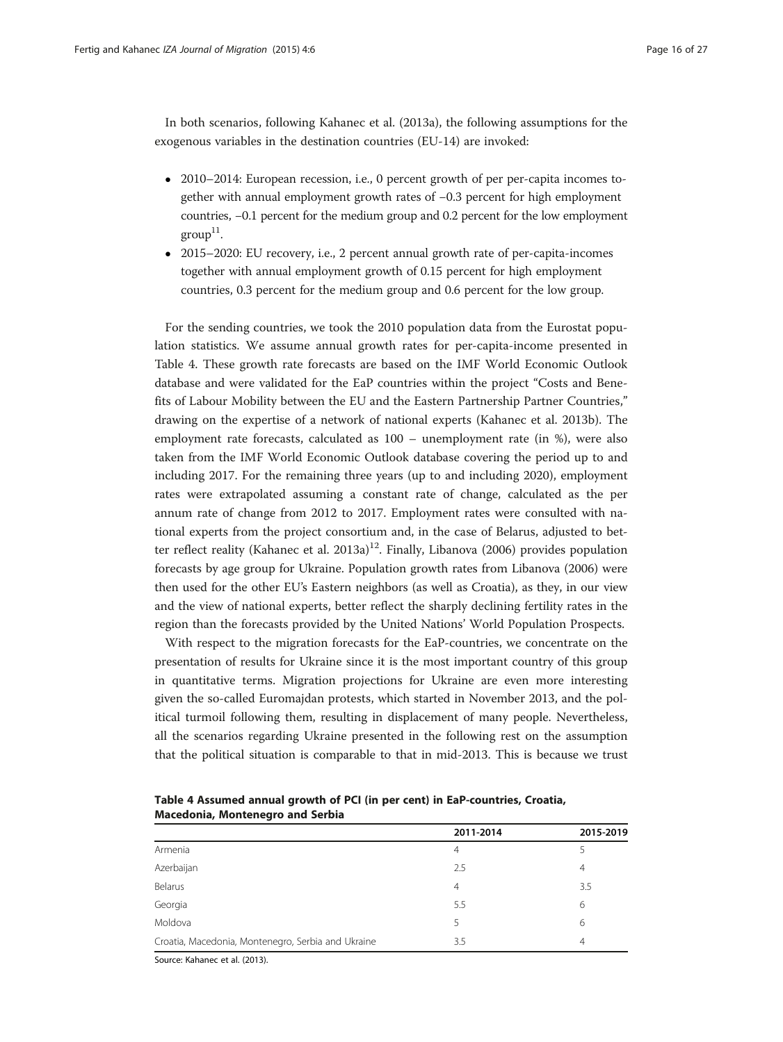In both scenarios, following Kahanec et al. ([2013a\)](#page-26-0), the following assumptions for the exogenous variables in the destination countries (EU-14) are invoked:

- 2010–2014: European recession, i.e., 0 percent growth of per per-capita incomes together with annual employment growth rates of −0.3 percent for high employment countries, −0.1 percent for the medium group and 0.2 percent for the low employment  $\text{group}^{11}$ .
- 2015–2020: EU recovery, i.e., 2 percent annual growth rate of per-capita-incomes together with annual employment growth of 0.15 percent for high employment countries, 0.3 percent for the medium group and 0.6 percent for the low group.

For the sending countries, we took the 2010 population data from the Eurostat population statistics. We assume annual growth rates for per-capita-income presented in Table 4. These growth rate forecasts are based on the IMF World Economic Outlook database and were validated for the EaP countries within the project "Costs and Benefits of Labour Mobility between the EU and the Eastern Partnership Partner Countries," drawing on the expertise of a network of national experts (Kahanec et al. [2013b\)](#page-26-0). The employment rate forecasts, calculated as 100 – unemployment rate (in %), were also taken from the IMF World Economic Outlook database covering the period up to and including 2017. For the remaining three years (up to and including 2020), employment rates were extrapolated assuming a constant rate of change, calculated as the per annum rate of change from 2012 to 2017. Employment rates were consulted with national experts from the project consortium and, in the case of Belarus, adjusted to bet-ter reflect reality (Kahanec et al. [2013a\)](#page-26-0)<sup>12</sup>. Finally, Libanova ([2006](#page-26-0)) provides population forecasts by age group for Ukraine. Population growth rates from Libanova ([2006](#page-26-0)) were then used for the other EU's Eastern neighbors (as well as Croatia), as they, in our view and the view of national experts, better reflect the sharply declining fertility rates in the region than the forecasts provided by the United Nations' World Population Prospects.

With respect to the migration forecasts for the EaP-countries, we concentrate on the presentation of results for Ukraine since it is the most important country of this group in quantitative terms. Migration projections for Ukraine are even more interesting given the so-called Euromajdan protests, which started in November 2013, and the political turmoil following them, resulting in displacement of many people. Nevertheless, all the scenarios regarding Ukraine presented in the following rest on the assumption that the political situation is comparable to that in mid-2013. This is because we trust

|                                                    | 2011-2014      | 2015-2019 |
|----------------------------------------------------|----------------|-----------|
| Armenia                                            | 4              |           |
| Azerbaijan                                         | 2.5            | 4         |
| Belarus                                            | $\overline{4}$ | 3.5       |
| Georgia                                            | 5.5            | 6         |
| Moldova                                            | 5              | 6         |
| Croatia, Macedonia, Montenegro, Serbia and Ukraine | 3.5            | 4         |

Table 4 Assumed annual growth of PCI (in per cent) in EaP-countries, Croatia, Macedonia, Montenegro and Serbia

Source: Kahanec et al. (2013).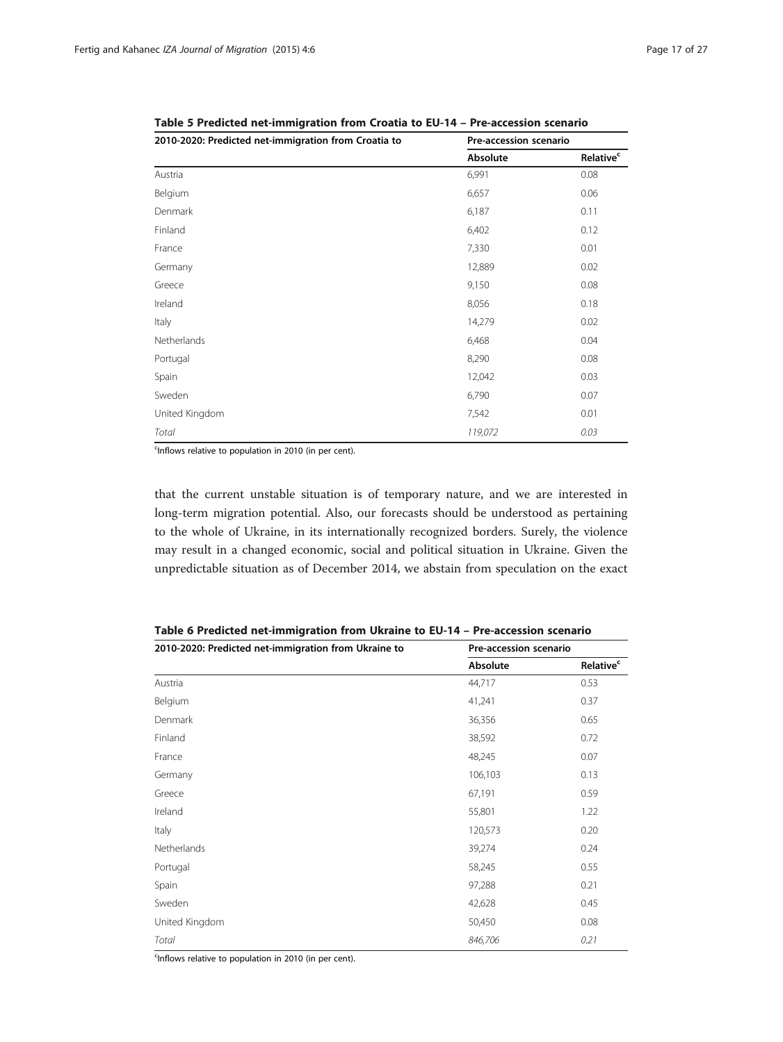| 2010-2020: Predicted net-immigration from Croatia to | Pre-accession scenario |                             |
|------------------------------------------------------|------------------------|-----------------------------|
|                                                      | Absolute               | <b>Relative<sup>c</sup></b> |
| Austria                                              | 6,991                  | 0.08                        |
| Belgium                                              | 6,657                  | 0.06                        |
| Denmark                                              | 6,187                  | 0.11                        |
| Finland                                              | 6,402                  | 0.12                        |
| France                                               | 7,330                  | 0.01                        |
| Germany                                              | 12,889                 | 0.02                        |
| Greece                                               | 9,150                  | 0.08                        |
| Ireland                                              | 8,056                  | 0.18                        |
| Italy                                                | 14,279                 | 0.02                        |
| Netherlands                                          | 6,468                  | 0.04                        |
| Portugal                                             | 8,290                  | 0.08                        |
| Spain                                                | 12,042                 | 0.03                        |
| Sweden                                               | 6,790                  | 0.07                        |
| United Kingdom                                       | 7,542                  | 0.01                        |
| Total                                                | 119,072                | 0.03                        |

<span id="page-16-0"></span>Table 5 Predicted net-immigration from Croatia to EU-14 – Pre-accession scenario

<sup>c</sup>Inflows relative to population in 2010 (in per cent).

that the current unstable situation is of temporary nature, and we are interested in long-term migration potential. Also, our forecasts should be understood as pertaining to the whole of Ukraine, in its internationally recognized borders. Surely, the violence may result in a changed economic, social and political situation in Ukraine. Given the unpredictable situation as of December 2014, we abstain from speculation on the exact

| 2010-2020: Predicted net-immigration from Ukraine to | Pre-accession scenario |                              |
|------------------------------------------------------|------------------------|------------------------------|
|                                                      | Absolute               | <b>Relative</b> <sup>c</sup> |
| Austria                                              | 44,717                 | 0.53                         |
| Belgium                                              | 41,241                 | 0.37                         |
| Denmark                                              | 36,356                 | 0.65                         |
| Finland                                              | 38,592                 | 0.72                         |
| France                                               | 48,245                 | 0.07                         |
| Germany                                              | 106,103                | 0.13                         |
| Greece                                               | 67,191                 | 0.59                         |
| Ireland                                              | 55,801                 | 1.22                         |
| Italy                                                | 120,573                | 0.20                         |
| Netherlands                                          | 39,274                 | 0.24                         |
| Portugal                                             | 58,245                 | 0.55                         |
| Spain                                                | 97,288                 | 0.21                         |
| Sweden                                               | 42,628                 | 0.45                         |
| United Kingdom                                       | 50,450                 | 0.08                         |
| Total                                                | 846,706                | 0.21                         |

Table 6 Predicted net-immigration from Ukraine to EU-14 – Pre-accession scenario

<sup>c</sup>Inflows relative to population in 2010 (in per cent).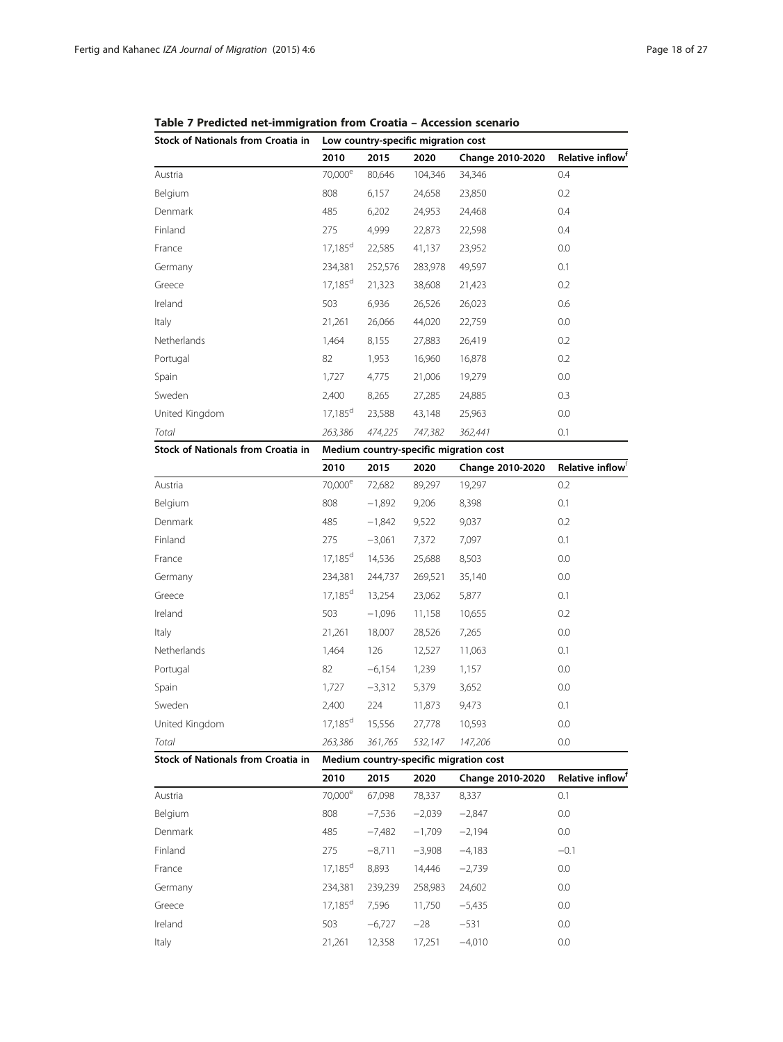| Stock of Nationals from Croatia in                                                  | Low country-specific migration cost |         |         |                  |                              |  |
|-------------------------------------------------------------------------------------|-------------------------------------|---------|---------|------------------|------------------------------|--|
|                                                                                     | 2010                                | 2015    | 2020    | Change 2010-2020 | Relative inflow <sup>t</sup> |  |
| Austria                                                                             | 70,000 <sup>e</sup>                 | 80,646  | 104,346 | 34,346           | 0.4                          |  |
| Belgium                                                                             | 808                                 | 6,157   | 24,658  | 23,850           | 0.2                          |  |
| Denmark                                                                             | 485                                 | 6,202   | 24,953  | 24,468           | 0.4                          |  |
| Finland                                                                             | 275                                 | 4,999   | 22,873  | 22,598           | 0.4                          |  |
| France                                                                              | $17,185^{\rm d}$                    | 22,585  | 41,137  | 23,952           | 0.0                          |  |
| Germany                                                                             | 234,381                             | 252,576 | 283,978 | 49,597           | 0.1                          |  |
| Greece                                                                              | $17,185^d$                          | 21,323  | 38,608  | 21,423           | 0.2                          |  |
| Ireland                                                                             | 503                                 | 6,936   | 26,526  | 26,023           | 0.6                          |  |
| Italy                                                                               | 21,261                              | 26,066  | 44,020  | 22,759           | 0.0                          |  |
| <b>Netherlands</b>                                                                  | 1,464                               | 8,155   | 27,883  | 26,419           | 0.2                          |  |
| Portugal                                                                            | 82                                  | 1,953   | 16,960  | 16,878           | 0.2                          |  |
| Spain                                                                               | 1,727                               | 4,775   | 21,006  | 19,279           | 0.0                          |  |
| Sweden                                                                              | 2,400                               | 8,265   | 27,285  | 24,885           | 0.3                          |  |
| United Kingdom                                                                      | $17,185^{\rm d}$                    | 23,588  | 43,148  | 25,963           | 0.0                          |  |
| Total                                                                               | 263,386                             | 474,225 | 747,382 | 362,441          | 0.1                          |  |
| <b>Stock of Nationals from Croatia in</b><br>Medium country-specific migration cost |                                     |         |         |                  |                              |  |

<span id="page-17-0"></span>

| Table 7 Predicted net-immigration from Croatia - Accession scenario |  |  |
|---------------------------------------------------------------------|--|--|
|                                                                     |  |  |

|                | 2010                | 2015     | 2020    | Change 2010-2020 | Relative inflow <sup>1</sup> |
|----------------|---------------------|----------|---------|------------------|------------------------------|
| Austria        | 70,000 <sup>e</sup> | 72,682   | 89,297  | 19,297           | 0.2                          |
| Belgium        | 808                 | $-1,892$ | 9,206   | 8,398            | 0.1                          |
| Denmark        | 485                 | $-1,842$ | 9,522   | 9,037            | 0.2                          |
| Finland        | 275                 | $-3,061$ | 7,372   | 7,097            | 0.1                          |
| France         | $17,185^d$          | 14,536   | 25,688  | 8,503            | 0.0                          |
| Germany        | 234,381             | 244,737  | 269,521 | 35,140           | 0.0                          |
| Greece         | $17,185^d$          | 13,254   | 23,062  | 5,877            | 0.1                          |
| Ireland        | 503                 | $-1,096$ | 11,158  | 10,655           | 0.2                          |
| Italy          | 21,261              | 18,007   | 28,526  | 7,265            | 0.0                          |
| Netherlands    | 1,464               | 126      | 12,527  | 11,063           | 0.1                          |
| Portugal       | 82                  | $-6,154$ | 1,239   | 1,157            | 0.0                          |
| Spain          | 1,727               | $-3,312$ | 5,379   | 3,652            | 0.0                          |
| Sweden         | 2,400               | 224      | 11,873  | 9,473            | 0.1                          |
| United Kingdom | $17,185^d$          | 15,556   | 27,778  | 10,593           | 0.0                          |
| Total          | 263,386             | 361,765  | 532,147 | 147,206          | 0.0                          |

Stock of Nationals from Croatia in Medium country-specific migration cost

|         | 2010                  | 2015     | 2020     | Change 2010-2020 | Relative inflow <sup>f</sup> |
|---------|-----------------------|----------|----------|------------------|------------------------------|
| Austria | 70,000 <sup>e</sup>   | 67.098   | 78,337   | 8,337            | 0.1                          |
| Belgium | 808                   | $-7,536$ | $-2,039$ | $-2,847$         | 0.0                          |
| Denmark | 485                   | $-7,482$ | $-1,709$ | $-2,194$         | 0.0                          |
| Finland | 275                   | $-8,711$ | $-3,908$ | $-4,183$         | $-0.1$                       |
| France  | $17,185^d$            | 8,893    | 14.446   | $-2,739$         | 0.0                          |
| Germany | 234.381               | 239,239  | 258.983  | 24,602           | 0.0                          |
| Greece  | $17.185$ <sup>d</sup> | 7,596    | 11,750   | $-5,435$         | 0.0                          |
| Ireland | 503                   | $-6.727$ | $-28$    | $-531$           | 0.0                          |
| Italy   | 21,261                | 12.358   | 17,251   | $-4.010$         | 0.0                          |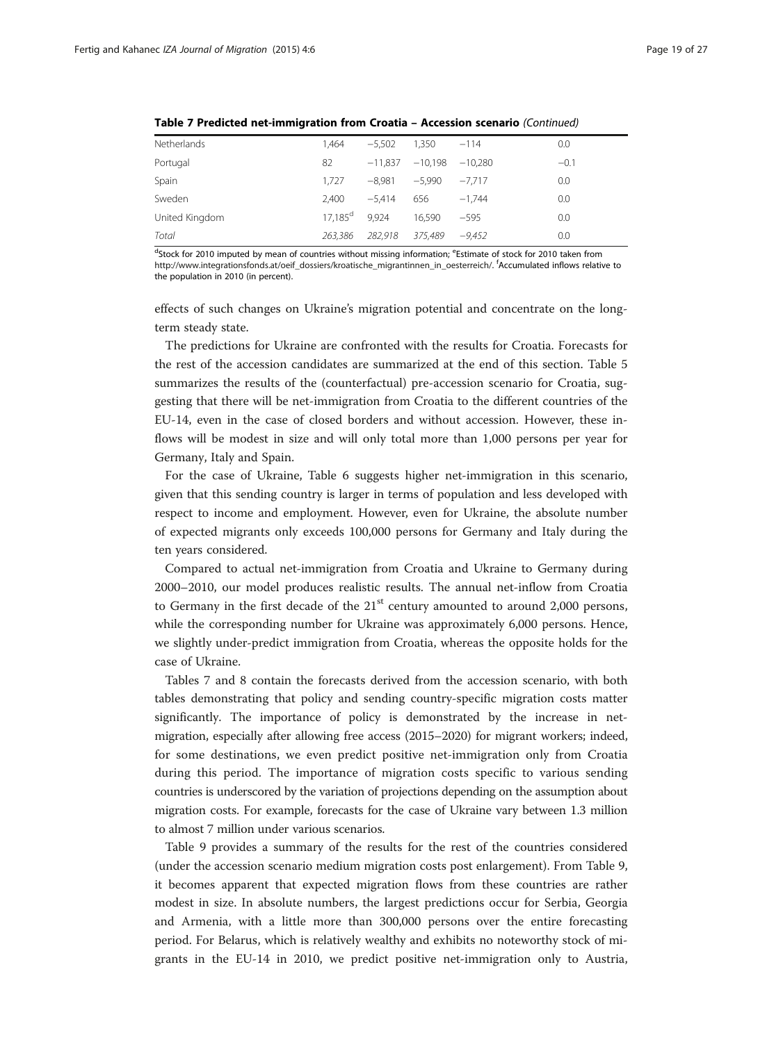| <b>Netherlands</b> | 1.464                 | $-5,502$        | 1.350              | $-114$   | 0.0    |
|--------------------|-----------------------|-----------------|--------------------|----------|--------|
| Portugal           | 82                    | $-11.837$       | $-10.198 - 10.280$ |          | $-0.1$ |
| Spain              | 1,727                 | $-8.981$        | $-5.990$           | $-7.717$ | 0.0    |
| Sweden             | 2.400                 | $-5.414$        | 656                | $-1.744$ | 0.0    |
| United Kingdom     | $17.185$ <sup>d</sup> | 9.924           | 16.590             | $-595$   | 0.0    |
| Total              | 263.386               | 282.918 375.489 |                    | -9.452   | 0.0    |
|                    |                       |                 |                    |          |        |

Table 7 Predicted net-immigration from Croatia – Accession scenario (Continued)

dStock for 2010 imputed by mean of countries without missing information; eEstimate of stock for 2010 taken from [http://www.integrationsfonds.at/oeif\\_dossiers/kroatische\\_migrantinnen\\_in\\_oesterreich/](http://www.integrationsfonds.at/oeif_dossiers/kroatische_migrantinnen_in_oesterreich/). <sup>f</sup> Accumulated inflows relative to the population in 2010 (in percent).

effects of such changes on Ukraine's migration potential and concentrate on the longterm steady state.

The predictions for Ukraine are confronted with the results for Croatia. Forecasts for the rest of the accession candidates are summarized at the end of this section. Table [5](#page-16-0) summarizes the results of the (counterfactual) pre-accession scenario for Croatia, suggesting that there will be net-immigration from Croatia to the different countries of the EU-14, even in the case of closed borders and without accession. However, these inflows will be modest in size and will only total more than 1,000 persons per year for Germany, Italy and Spain.

For the case of Ukraine, Table [6](#page-16-0) suggests higher net-immigration in this scenario, given that this sending country is larger in terms of population and less developed with respect to income and employment. However, even for Ukraine, the absolute number of expected migrants only exceeds 100,000 persons for Germany and Italy during the ten years considered.

Compared to actual net-immigration from Croatia and Ukraine to Germany during 2000–2010, our model produces realistic results. The annual net-inflow from Croatia to Germany in the first decade of the  $21<sup>st</sup>$  century amounted to around 2,000 persons, while the corresponding number for Ukraine was approximately 6,000 persons. Hence, we slightly under-predict immigration from Croatia, whereas the opposite holds for the case of Ukraine.

Tables [7](#page-17-0) and [8](#page-19-0) contain the forecasts derived from the accession scenario, with both tables demonstrating that policy and sending country-specific migration costs matter significantly. The importance of policy is demonstrated by the increase in netmigration, especially after allowing free access (2015–2020) for migrant workers; indeed, for some destinations, we even predict positive net-immigration only from Croatia during this period. The importance of migration costs specific to various sending countries is underscored by the variation of projections depending on the assumption about migration costs. For example, forecasts for the case of Ukraine vary between 1.3 million to almost 7 million under various scenarios.

Table [9](#page-20-0) provides a summary of the results for the rest of the countries considered (under the accession scenario medium migration costs post enlargement). From Table [9](#page-20-0), it becomes apparent that expected migration flows from these countries are rather modest in size. In absolute numbers, the largest predictions occur for Serbia, Georgia and Armenia, with a little more than 300,000 persons over the entire forecasting period. For Belarus, which is relatively wealthy and exhibits no noteworthy stock of migrants in the EU-14 in 2010, we predict positive net-immigration only to Austria,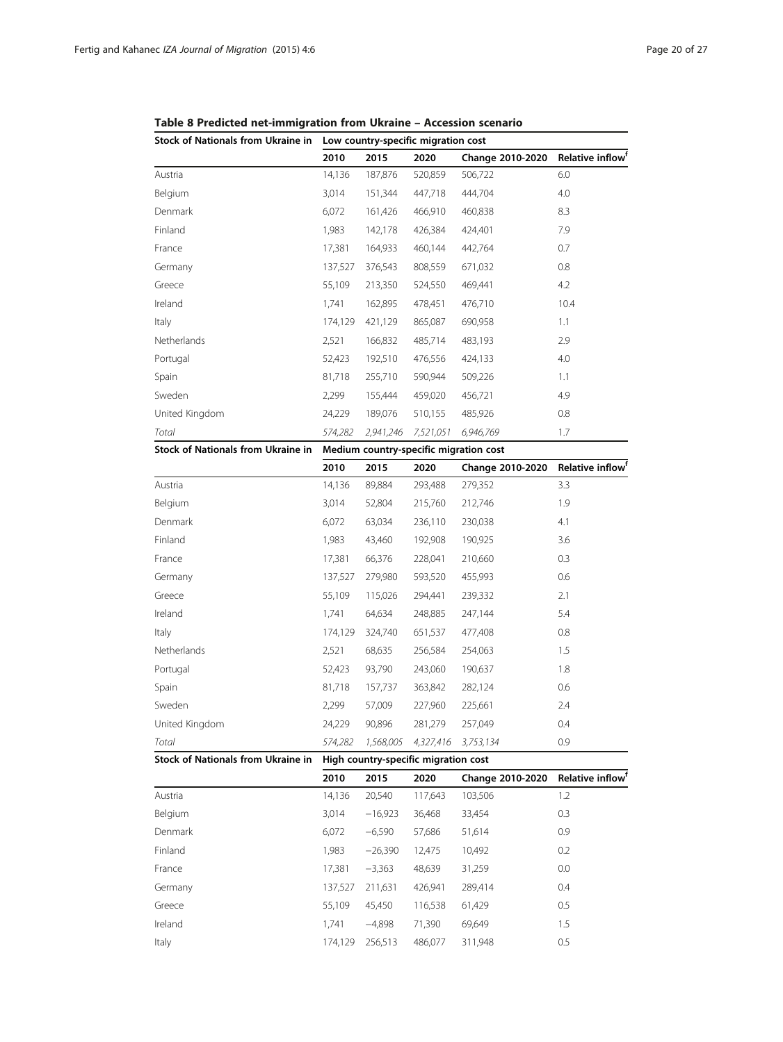| Stock of Nationals from Ukraine in | Low country-specific migration cost    |           |           |                  |                              |  |  |
|------------------------------------|----------------------------------------|-----------|-----------|------------------|------------------------------|--|--|
|                                    | 2010                                   | 2015      | 2020      | Change 2010-2020 | Relative inflow <sup>1</sup> |  |  |
| Austria                            | 14,136                                 | 187,876   | 520,859   | 506,722          | 6.0                          |  |  |
| Belgium                            | 3,014                                  | 151,344   | 447,718   | 444,704          | 4.0                          |  |  |
| Denmark                            | 6,072                                  | 161,426   | 466,910   | 460,838          | 8.3                          |  |  |
| Finland                            | 1,983                                  | 142,178   | 426,384   | 424,401          | 7.9                          |  |  |
| France                             | 17,381                                 | 164,933   | 460,144   | 442,764          | 0.7                          |  |  |
| Germany                            | 137,527                                | 376,543   | 808,559   | 671,032          | 0.8                          |  |  |
| Greece                             | 55,109                                 | 213,350   | 524,550   | 469,441          | 4.2                          |  |  |
| Ireland                            | 1,741                                  | 162,895   | 478,451   | 476,710          | 10.4                         |  |  |
| Italy                              | 174,129                                | 421,129   | 865,087   | 690,958          | 1.1                          |  |  |
| Netherlands                        | 2,521                                  | 166,832   | 485,714   | 483,193          | 2.9                          |  |  |
| Portugal                           | 52,423                                 | 192,510   | 476,556   | 424,133          | 4.0                          |  |  |
| Spain                              | 81,718                                 | 255,710   | 590,944   | 509,226          | 1.1                          |  |  |
| Sweden                             | 2,299                                  | 155,444   | 459,020   | 456,721          | 4.9                          |  |  |
| United Kingdom                     | 24,229                                 | 189,076   | 510,155   | 485,926          | 0.8                          |  |  |
| Total                              | 574,282                                | 2,941,246 | 7,521,051 | 6,946,769        | 1.7                          |  |  |
| Stock of Nationals from Ukraine in | Medium country-specific migration cost |           |           |                  |                              |  |  |
|                                    | 2010                                   | 2015      | 2020      | Change 2010-2020 | Relative inflow <sup>1</sup> |  |  |
| Austria                            | 14,136                                 | 89,884    | 293,488   | 279,352          | 3.3                          |  |  |
| Belgium                            | 3,014                                  | 52,804    | 215,760   | 212,746          | 1.9                          |  |  |
| Denmark                            | 6,072                                  | 63,034    | 236,110   | 230,038          | 4.1                          |  |  |
| Finland                            | 1,983                                  | 43,460    | 192,908   | 190,925          | 3.6                          |  |  |
| France                             | 17,381                                 | 66,376    | 228,041   | 210,660          | 0.3                          |  |  |
| Germany                            | 137,527                                | 279,980   | 593,520   | 455,993          | 0.6                          |  |  |
| Greece                             | 55,109                                 | 115,026   | 294,441   | 239,332          | 2.1                          |  |  |
| Ireland                            | 1,741                                  | 64,634    | 248,885   | 247,144          | 5.4                          |  |  |
| Italy                              | 174,129                                | 324,740   | 651,537   | 477,408          | 0.8                          |  |  |
| Netherlands                        | 2,521                                  | 68,635    | 256,584   | 254,063          | 1.5                          |  |  |
| Portugal                           | 52,423                                 | 93,790    | 243,060   | 190,637          | 1.8                          |  |  |
|                                    |                                        |           |           |                  |                              |  |  |

<span id="page-19-0"></span>Table 8 Predicted net-immigration from Ukraine – Accession scenario

Total 574,282 1,568,005 4,327,416 3,753,134 0.9 Stock of Nationals from Ukraine in High country-specific migration cost 2010 2015 2020 Change 2010-2020 Relative inflowf Austria 14,136 20,540 117,643 103,506 1.2 Belgium 3,014 −16,923 36,468 33,454 0.3 Denmark 6,072 −6,590 57,686 51,614 0.9 Finland 1,983 −26,390 12,475 10,492 0.2 France 17,381 −3,363 48,639 31,259 0.0

Germany 137,527 211,631 426,941 289,414 0.4 Greece 55,109 45,450 116,538 61,429 0.5 Ireland 1,741 −4,898 71,390 69,649 1.5 Italy 174,129 256,513 486,077 311,948 0.5

Spain 81,718 157,737 363,842 282,124 0.6 Sweden 2,299 57,009 227,960 225,661 2.4 United Kingdom 24,229 90,896 281,279 257,049 0.4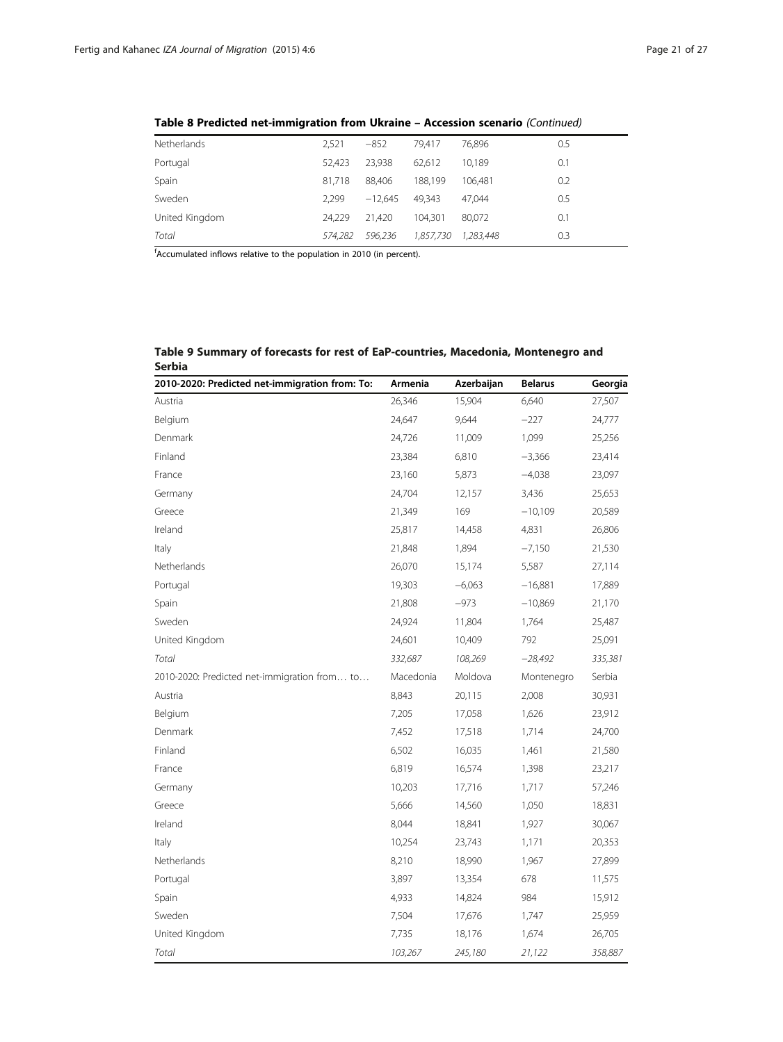| Netherlands    | 2,521   | $-852$    | 79.417    | 76.896    | 0.5 |
|----------------|---------|-----------|-----------|-----------|-----|
| Portugal       | 52.423  | 23.938    | 62.612    | 10.189    | 0.1 |
| Spain          | 81.718  | 88.406    | 188.199   | 106.481   | 0.2 |
| Sweden         | 2.299   | $-12.645$ | 49.343    | 47.044    | 0.5 |
| United Kingdom | 24.229  | 21.420    | 104.301   | 80.072    | 0.1 |
| Total          | 574.282 | 596.236   | 1,857,730 | 1.283.448 | 0.3 |

<span id="page-20-0"></span>Table 8 Predicted net-immigration from Ukraine – Accession scenario (Continued)

f Accumulated inflows relative to the population in 2010 (in percent).

| Table 9 Summary of forecasts for rest of EaP-countries, Macedonia, Montenegro and |  |
|-----------------------------------------------------------------------------------|--|
| Serbia                                                                            |  |

| 2010-2020: Predicted net-immigration from: To: | Armenia   | Azerbaijan | <b>Belarus</b> | Georgia |
|------------------------------------------------|-----------|------------|----------------|---------|
| Austria                                        | 26,346    | 15,904     | 6,640          | 27,507  |
| Belgium                                        | 24,647    | 9,644      | $-227$         | 24,777  |
| Denmark                                        | 24,726    | 11,009     | 1,099          | 25,256  |
| Finland                                        | 23,384    | 6,810      | $-3,366$       | 23,414  |
| France                                         | 23,160    | 5,873      | $-4,038$       | 23,097  |
| Germany                                        | 24,704    | 12,157     | 3,436          | 25,653  |
| Greece                                         | 21,349    | 169        | $-10,109$      | 20,589  |
| Ireland                                        | 25,817    | 14,458     | 4,831          | 26,806  |
| Italy                                          | 21,848    | 1,894      | $-7,150$       | 21,530  |
| Netherlands                                    | 26,070    | 15,174     | 5,587          | 27,114  |
| Portugal                                       | 19,303    | $-6,063$   | $-16,881$      | 17,889  |
| Spain                                          | 21,808    | $-973$     | $-10,869$      | 21,170  |
| Sweden                                         | 24,924    | 11,804     | 1,764          | 25,487  |
| United Kingdom                                 | 24,601    | 10,409     | 792            | 25,091  |
| Total                                          | 332,687   | 108,269    | $-28,492$      | 335,381 |
| 2010-2020: Predicted net-immigration from to   | Macedonia | Moldova    | Montenegro     | Serbia  |
| Austria                                        | 8,843     | 20,115     | 2,008          | 30,931  |
| Belgium                                        | 7,205     | 17,058     | 1,626          | 23,912  |
| Denmark                                        | 7,452     | 17,518     | 1,714          | 24,700  |
| Finland                                        | 6,502     | 16,035     | 1,461          | 21,580  |
| France                                         | 6,819     | 16,574     | 1,398          | 23,217  |
| Germany                                        | 10,203    | 17,716     | 1,717          | 57,246  |
| Greece                                         | 5,666     | 14,560     | 1,050          | 18,831  |
| Ireland                                        | 8,044     | 18,841     | 1,927          | 30,067  |
| Italy                                          | 10,254    | 23,743     | 1,171          | 20,353  |
| Netherlands                                    | 8,210     | 18,990     | 1,967          | 27,899  |
| Portugal                                       | 3,897     | 13,354     | 678            | 11,575  |
| Spain                                          | 4,933     | 14,824     | 984            | 15,912  |
| Sweden                                         | 7,504     | 17,676     | 1,747          | 25,959  |
| United Kingdom                                 | 7,735     | 18,176     | 1,674          | 26,705  |
| Total                                          | 103,267   | 245,180    | 21,122         | 358,887 |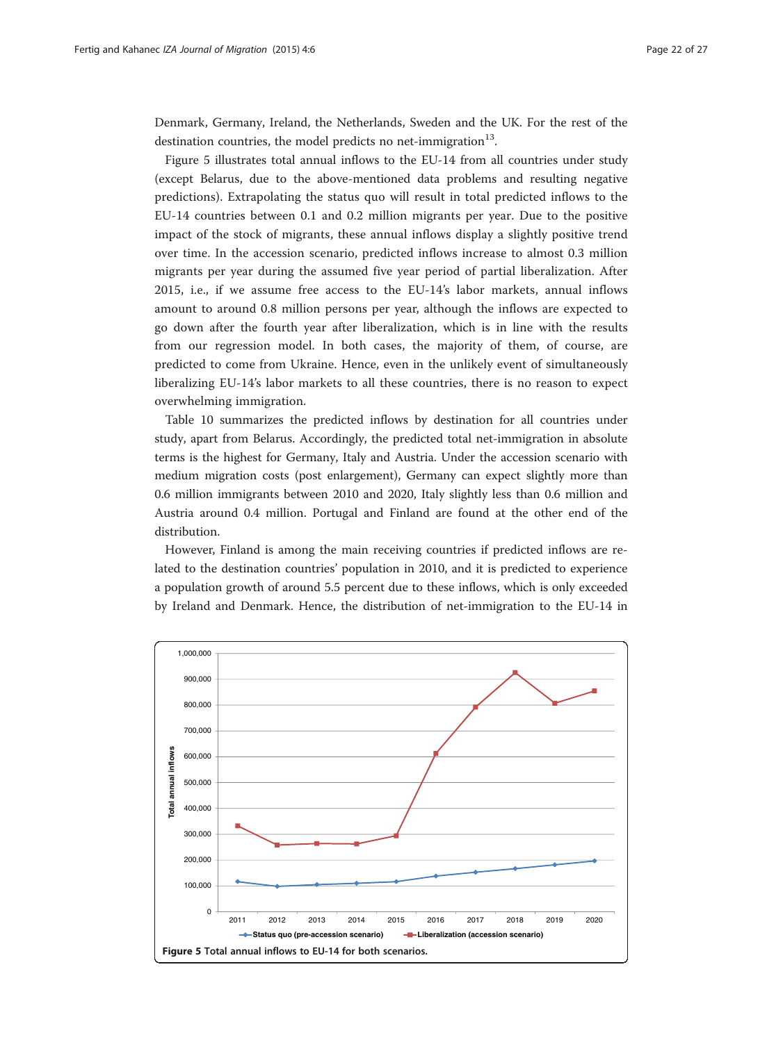Denmark, Germany, Ireland, the Netherlands, Sweden and the UK. For the rest of the destination countries, the model predicts no net-immigration $^{13}$ .

Figure 5 illustrates total annual inflows to the EU-14 from all countries under study (except Belarus, due to the above-mentioned data problems and resulting negative predictions). Extrapolating the status quo will result in total predicted inflows to the EU-14 countries between 0.1 and 0.2 million migrants per year. Due to the positive impact of the stock of migrants, these annual inflows display a slightly positive trend over time. In the accession scenario, predicted inflows increase to almost 0.3 million migrants per year during the assumed five year period of partial liberalization. After 2015, i.e., if we assume free access to the EU-14's labor markets, annual inflows amount to around 0.8 million persons per year, although the inflows are expected to go down after the fourth year after liberalization, which is in line with the results from our regression model. In both cases, the majority of them, of course, are predicted to come from Ukraine. Hence, even in the unlikely event of simultaneously liberalizing EU-14's labor markets to all these countries, there is no reason to expect overwhelming immigration.

Table [10](#page-22-0) summarizes the predicted inflows by destination for all countries under study, apart from Belarus. Accordingly, the predicted total net-immigration in absolute terms is the highest for Germany, Italy and Austria. Under the accession scenario with medium migration costs (post enlargement), Germany can expect slightly more than 0.6 million immigrants between 2010 and 2020, Italy slightly less than 0.6 million and Austria around 0.4 million. Portugal and Finland are found at the other end of the distribution.

However, Finland is among the main receiving countries if predicted inflows are related to the destination countries' population in 2010, and it is predicted to experience a population growth of around 5.5 percent due to these inflows, which is only exceeded by Ireland and Denmark. Hence, the distribution of net-immigration to the EU-14 in

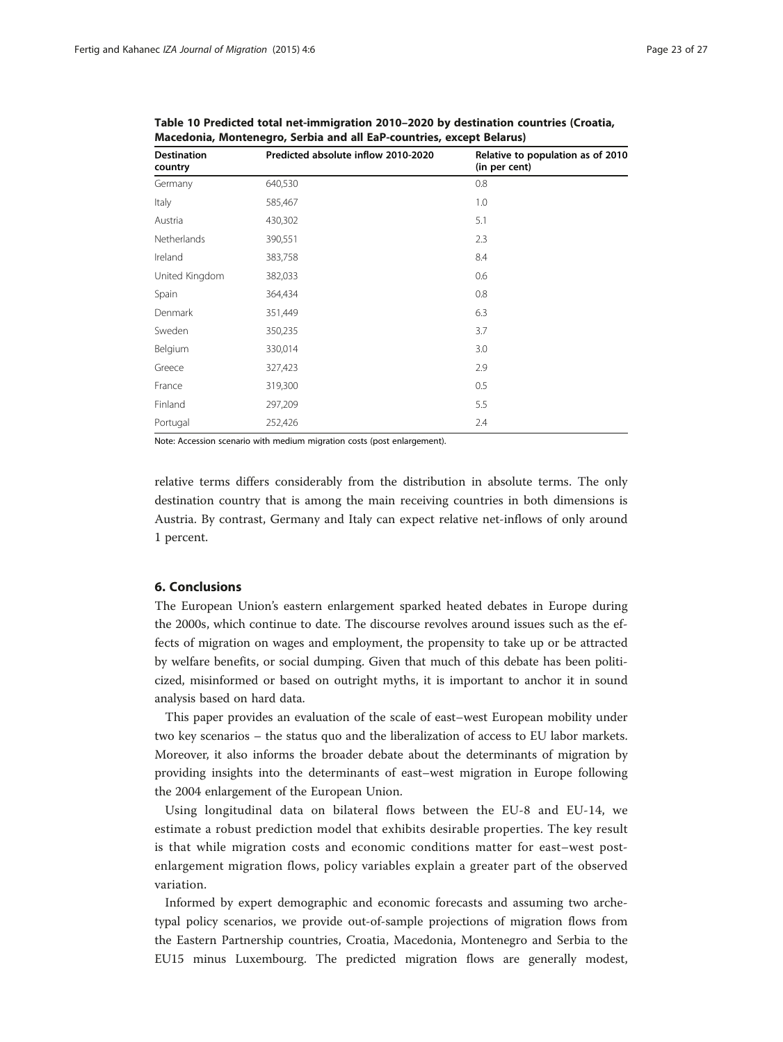| <b>Destination</b><br>country | Predicted absolute inflow 2010-2020 | Relative to population as of 2010<br>(in per cent) |
|-------------------------------|-------------------------------------|----------------------------------------------------|
| Germany                       | 640,530                             | 0.8                                                |
| Italy                         | 585,467                             | 1.0                                                |
| Austria                       | 430,302                             | 5.1                                                |
| Netherlands                   | 390,551                             | 2.3                                                |
| Ireland                       | 383,758                             | 8.4                                                |
| United Kingdom                | 382,033                             | 0.6                                                |
| Spain                         | 364,434                             | 0.8                                                |
| Denmark                       | 351,449                             | 6.3                                                |
| Sweden                        | 350,235                             | 3.7                                                |
| Belgium                       | 330,014                             | 3.0                                                |
| Greece                        | 327,423                             | 2.9                                                |
| France                        | 319,300                             | 0.5                                                |
| Finland                       | 297,209                             | 5.5                                                |
| Portugal                      | 252,426                             | 2.4                                                |

<span id="page-22-0"></span>Table 10 Predicted total net-immigration 2010–2020 by destination countries (Croatia, Macedonia, Montenegro, Serbia and all EaP-countries, except Belarus)

Note: Accession scenario with medium migration costs (post enlargement).

relative terms differs considerably from the distribution in absolute terms. The only destination country that is among the main receiving countries in both dimensions is Austria. By contrast, Germany and Italy can expect relative net-inflows of only around 1 percent.

# 6. Conclusions

The European Union's eastern enlargement sparked heated debates in Europe during the 2000s, which continue to date. The discourse revolves around issues such as the effects of migration on wages and employment, the propensity to take up or be attracted by welfare benefits, or social dumping. Given that much of this debate has been politicized, misinformed or based on outright myths, it is important to anchor it in sound analysis based on hard data.

This paper provides an evaluation of the scale of east–west European mobility under two key scenarios – the status quo and the liberalization of access to EU labor markets. Moreover, it also informs the broader debate about the determinants of migration by providing insights into the determinants of east–west migration in Europe following the 2004 enlargement of the European Union.

Using longitudinal data on bilateral flows between the EU-8 and EU-14, we estimate a robust prediction model that exhibits desirable properties. The key result is that while migration costs and economic conditions matter for east–west postenlargement migration flows, policy variables explain a greater part of the observed variation.

Informed by expert demographic and economic forecasts and assuming two archetypal policy scenarios, we provide out-of-sample projections of migration flows from the Eastern Partnership countries, Croatia, Macedonia, Montenegro and Serbia to the EU15 minus Luxembourg. The predicted migration flows are generally modest,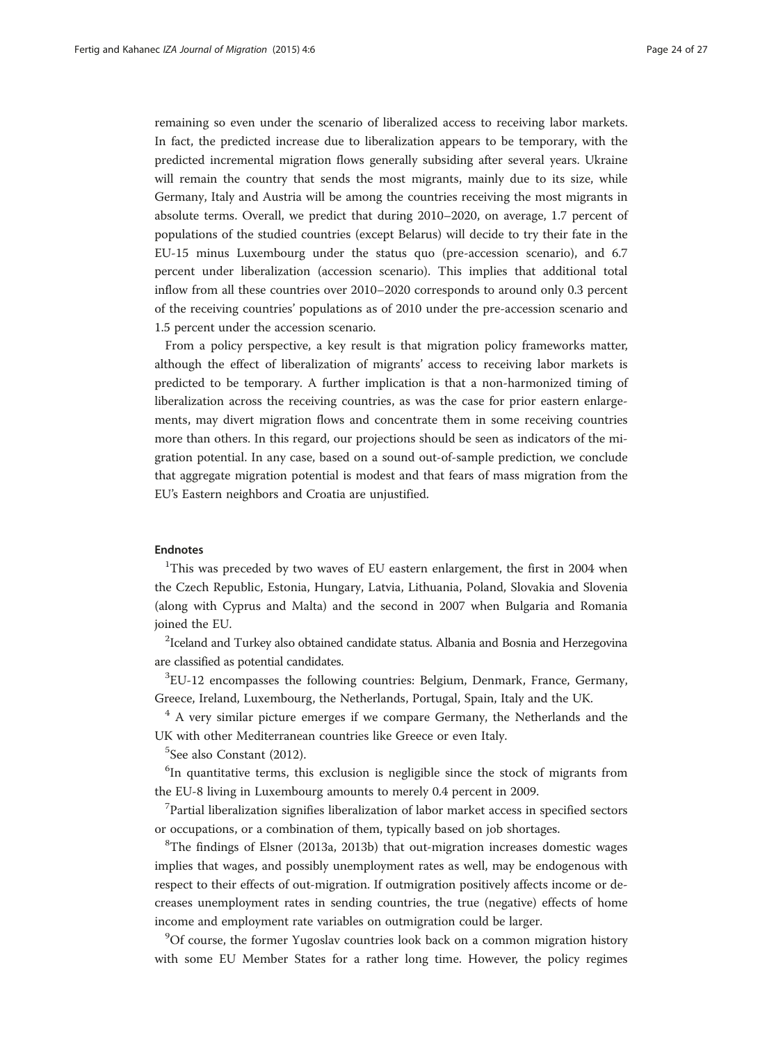remaining so even under the scenario of liberalized access to receiving labor markets. In fact, the predicted increase due to liberalization appears to be temporary, with the predicted incremental migration flows generally subsiding after several years. Ukraine will remain the country that sends the most migrants, mainly due to its size, while Germany, Italy and Austria will be among the countries receiving the most migrants in absolute terms. Overall, we predict that during 2010–2020, on average, 1.7 percent of populations of the studied countries (except Belarus) will decide to try their fate in the EU-15 minus Luxembourg under the status quo (pre-accession scenario), and 6.7 percent under liberalization (accession scenario). This implies that additional total inflow from all these countries over 2010–2020 corresponds to around only 0.3 percent of the receiving countries' populations as of 2010 under the pre-accession scenario and 1.5 percent under the accession scenario.

From a policy perspective, a key result is that migration policy frameworks matter, although the effect of liberalization of migrants' access to receiving labor markets is predicted to be temporary. A further implication is that a non-harmonized timing of liberalization across the receiving countries, as was the case for prior eastern enlargements, may divert migration flows and concentrate them in some receiving countries more than others. In this regard, our projections should be seen as indicators of the migration potential. In any case, based on a sound out-of-sample prediction, we conclude that aggregate migration potential is modest and that fears of mass migration from the EU's Eastern neighbors and Croatia are unjustified.

# Endnotes

<sup>1</sup>This was preceded by two waves of EU eastern enlargement, the first in 2004 when the Czech Republic, Estonia, Hungary, Latvia, Lithuania, Poland, Slovakia and Slovenia (along with Cyprus and Malta) and the second in 2007 when Bulgaria and Romania joined the EU.

 $^{2}$ Iceland and Turkey also obtained candidate status. Albania and Bosnia and Herzegovina are classified as potential candidates.

<sup>3</sup>EU-12 encompasses the following countries: Belgium, Denmark, France, Germany, Greece, Ireland, Luxembourg, the Netherlands, Portugal, Spain, Italy and the UK.

 $4$  A very similar picture emerges if we compare Germany, the Netherlands and the UK with other Mediterranean countries like Greece or even Italy.

5 See also Constant [\(2012\)](#page-25-0).

<sup>6</sup>In quantitative terms, this exclusion is negligible since the stock of migrants from the EU-8 living in Luxembourg amounts to merely 0.4 percent in 2009.

7 Partial liberalization signifies liberalization of labor market access in specified sectors or occupations, or a combination of them, typically based on job shortages.

<sup>8</sup>The findings of Elsner ([2013a,](#page-25-0) 2013b) that out-migration increases domestic wages implies that wages, and possibly unemployment rates as well, may be endogenous with respect to their effects of out-migration. If outmigration positively affects income or decreases unemployment rates in sending countries, the true (negative) effects of home income and employment rate variables on outmigration could be larger.

<sup>9</sup>Of course, the former Yugoslav countries look back on a common migration history with some EU Member States for a rather long time. However, the policy regimes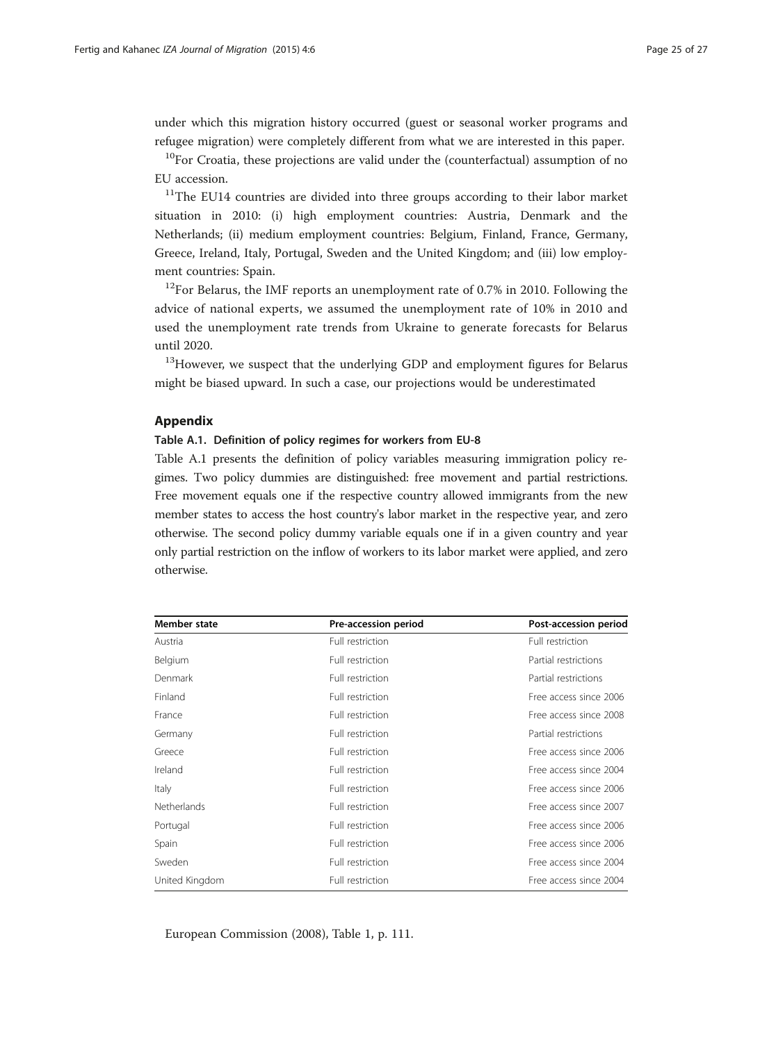under which this migration history occurred (guest or seasonal worker programs and refugee migration) were completely different from what we are interested in this paper.

 $10$ For Croatia, these projections are valid under the (counterfactual) assumption of no EU accession.

<sup>11</sup>The EU14 countries are divided into three groups according to their labor market situation in 2010: (i) high employment countries: Austria, Denmark and the Netherlands; (ii) medium employment countries: Belgium, Finland, France, Germany, Greece, Ireland, Italy, Portugal, Sweden and the United Kingdom; and (iii) low employment countries: Spain.

 $12$ For Belarus, the IMF reports an unemployment rate of 0.7% in 2010. Following the advice of national experts, we assumed the unemployment rate of 10% in 2010 and used the unemployment rate trends from Ukraine to generate forecasts for Belarus until 2020.

<sup>13</sup>However, we suspect that the underlying GDP and employment figures for Belarus might be biased upward. In such a case, our projections would be underestimated

# Appendix

#### Table A.1. Definition of policy regimes for workers from EU-8

Table A.1 presents the definition of policy variables measuring immigration policy regimes. Two policy dummies are distinguished: free movement and partial restrictions. Free movement equals one if the respective country allowed immigrants from the new member states to access the host country's labor market in the respective year, and zero otherwise. The second policy dummy variable equals one if in a given country and year only partial restriction on the inflow of workers to its labor market were applied, and zero otherwise.

| Member state       | Pre-accession period | Post-accession period  |
|--------------------|----------------------|------------------------|
| Austria            | Full restriction     | Full restriction       |
| Belgium            | Full restriction     | Partial restrictions   |
| Denmark            | Full restriction     | Partial restrictions   |
| Finland            | Full restriction     | Free access since 2006 |
| France             | Full restriction     | Free access since 2008 |
| Germany            | Full restriction     | Partial restrictions   |
| Greece             | Full restriction     | Free access since 2006 |
| Ireland            | Full restriction     | Free access since 2004 |
| <b>Italy</b>       | Full restriction     | Free access since 2006 |
| <b>Netherlands</b> | Full restriction     | Free access since 2007 |
| Portugal           | Full restriction     | Free access since 2006 |
| Spain              | Full restriction     | Free access since 2006 |
| Sweden             | Full restriction     | Free access since 2004 |
| United Kingdom     | Full restriction     | Free access since 2004 |

European Commission [\(2008\)](#page-25-0), Table [1](#page-5-0), p. 111.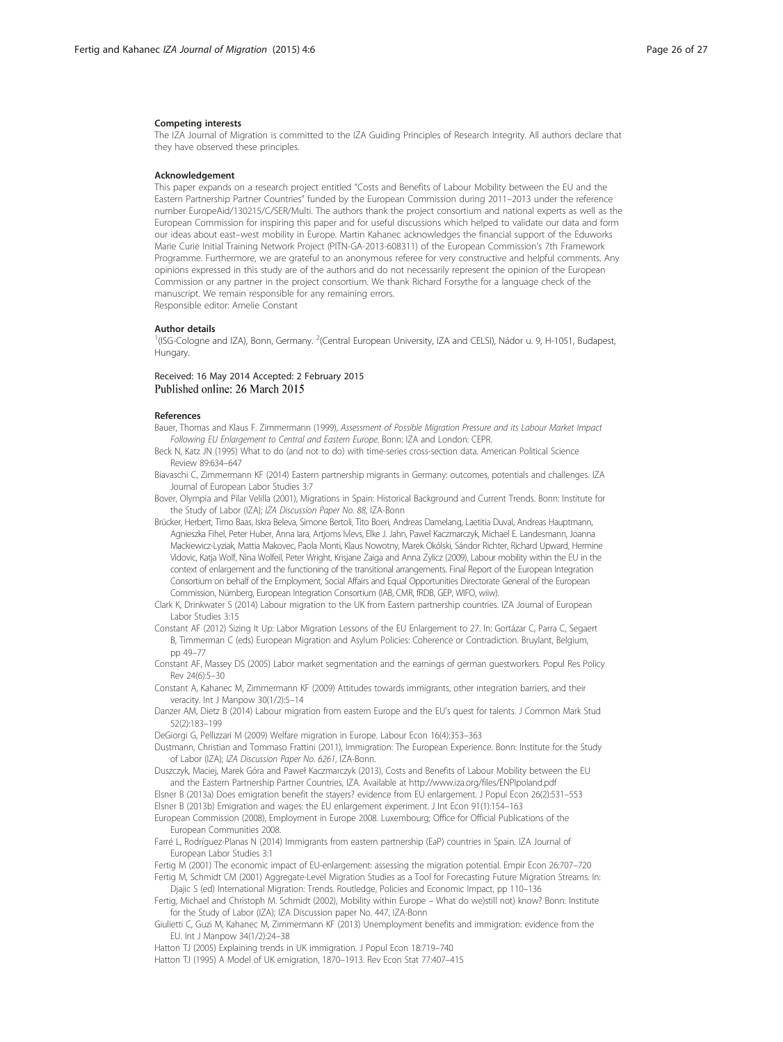#### <span id="page-25-0"></span>Competing interests

The IZA Journal of Migration is committed to the IZA Guiding Principles of Research Integrity. All authors declare that they have observed these principles.

#### Acknowledgement

This paper expands on a research project entitled "Costs and Benefits of Labour Mobility between the EU and the Eastern Partnership Partner Countries" funded by the European Commission during 2011–2013 under the reference number EuropeAid/130215/C/SER/Multi. The authors thank the project consortium and national experts as well as the European Commission for inspiring this paper and for useful discussions which helped to validate our data and form our ideas about east–west mobility in Europe. Martin Kahanec acknowledges the financial support of the Eduworks Marie Curie Initial Training Network Project (PITN-GA-2013-608311) of the European Commission's 7th Framework Programme. Furthermore, we are grateful to an anonymous referee for very constructive and helpful comments. Any opinions expressed in this study are of the authors and do not necessarily represent the opinion of the European Commission or any partner in the project consortium. We thank Richard Forsythe for a language check of the manuscript. We remain responsible for any remaining errors. Responsible editor: Amelie Constant

#### Author details

<sup>1</sup>(ISG-Cologne and IZA), Bonn, Germany. <sup>2</sup>(Central European University, IZA and CELSI), Nádor u. 9, H-1051, Budapest, Hungary.

## Received: 16 May 2014 Accepted: 2 February 2015 Published online: 26 March 2015

#### References

- Bauer, Thomas and Klaus F. Zimmermann (1999), Assessment of Possible Migration Pressure and its Labour Market Impact Following EU Enlargement to Central and Eastern Europe. Bonn: IZA and London: CEPR.
- Beck N, Katz JN (1995) What to do (and not to do) with time-series cross-section data. American Political Science Review 89:634–647
- Biavaschi C, Zimmermann KF (2014) Eastern partnership migrants in Germany: outcomes, potentials and challenges. IZA Journal of European Labor Studies 3:7
- Bover, Olympia and Pilar Velilla (2001), Migrations in Spain: Historical Background and Current Trends. Bonn: Institute for the Study of Labor (IZA); IZA Discussion Paper No. 88, IZA-Bonn
- Brücker, Herbert, Timo Baas, Iskra Beleva, Simone Bertoli, Tito Boeri, Andreas Damelang, Laetitia Duval, Andreas Hauptmann, Agnieszka Fihel, Peter Huber, Anna Iara, Artjoms Ivlevs, Elke J. Jahn, Pawel Kaczmarczyk, Michael E. Landesmann, Joanna Mackiewicz-Lyziak, Mattia Makovec, Paola Monti, Klaus Nowotny, Marek Okólski, Sándor Richter, Richard Upward, Hermine Vidovic, Katja Wolf, Nina Wolfeil, Peter Wright, Krisjane Zaiga and Anna Zylicz (2009), Labour mobility within the EU in the context of enlargement and the functioning of the transitional arrangements. Final Report of the European Integration Consortium on behalf of the Employment, Social Affairs and Equal Opportunities Directorate General of the European Commission, Nürnberg, European Integration Consortium (IAB, CMR, fRDB, GEP, WIFO, wiiw).
- Clark K, Drinkwater S (2014) Labour migration to the UK from Eastern partnership countries. IZA Journal of European Labor Studies 3:15
- Constant AF (2012) Sizing It Up: Labor Migration Lessons of the EU Enlargement to 27. In: Gortázar C, Parra C, Segaert B, Timmerman C (eds) European Migration and Asylum Policies: Coherence or Contradiction. Bruylant, Belgium, pp 49–77
- Constant AF, Massey DS (2005) Labor market segmentation and the earnings of german guestworkers. Popul Res Policy Rev 24(6):5–30
- Constant A, Kahanec M, Zimmermann KF (2009) Attitudes towards immigrants, other integration barriers, and their veracity. Int J Manpow 30(1/2):5–14
- Danzer AM, Dietz B (2014) Labour migration from eastern Europe and the EU's quest for talents. J Common Mark Stud 52(2):183–199
- DeGiorgi G, Pellizzari M (2009) Welfare migration in Europe. Labour Econ 16(4):353–363
- Dustmann, Christian and Tommaso Frattini (2011), Immigration: The European Experience. Bonn: Institute for the Study of Labor (IZA); IZA Discussion Paper No. 6261, IZA-Bonn.

Duszczyk, Maciej, Marek Góra and Paweł Kaczmarczyk (2013), Costs and Benefits of Labour Mobility between the EU and the Eastern Partnership Partner Countries, IZA. Available at<http://www.iza.org/files/ENPIpoland.pdf>

- Elsner B (2013a) Does emigration benefit the stayers? evidence from EU enlargement. J Popul Econ 26(2):531–553 Elsner B (2013b) Emigration and wages: the EU enlargement experiment. J Int Econ 91(1):154–163
- European Commission (2008), Employment in Europe 2008. Luxembourg; Office for Official Publications of the European Communities 2008.

Farré L, Rodríguez-Planas N (2014) Immigrants from eastern partnership (EaP) countries in Spain. IZA Journal of European Labor Studies 3:1

Fertig M (2001) The economic impact of EU-enlargement: assessing the migration potential. Empir Econ 26:707–720 Fertig M, Schmidt CM (2001) Aggregate-Level Migration Studies as a Tool for Forecasting Future Migration Streams. In: Djajic S (ed) International Migration: Trends. Routledge, Policies and Economic Impact, pp 110–136

- Fertig, Michael and Christoph M. Schmidt (2002), Mobility within Europe What do we)still not) know? Bonn: Institute for the Study of Labor (IZA); IZA Discussion paper No. 447, IZA-Bonn
- Giulietti C, Guzi M, Kahanec M, Zimmermann KF (2013) Unemployment benefits and immigration: evidence from the EU. Int J Manpow 34(1/2):24–38

Hatton TJ (2005) Explaining trends in UK immigration. J Popul Econ 18:719–740 Hatton TJ (1995) A Model of UK emigration, 1870–1913. Rev Econ Stat 77:407–415